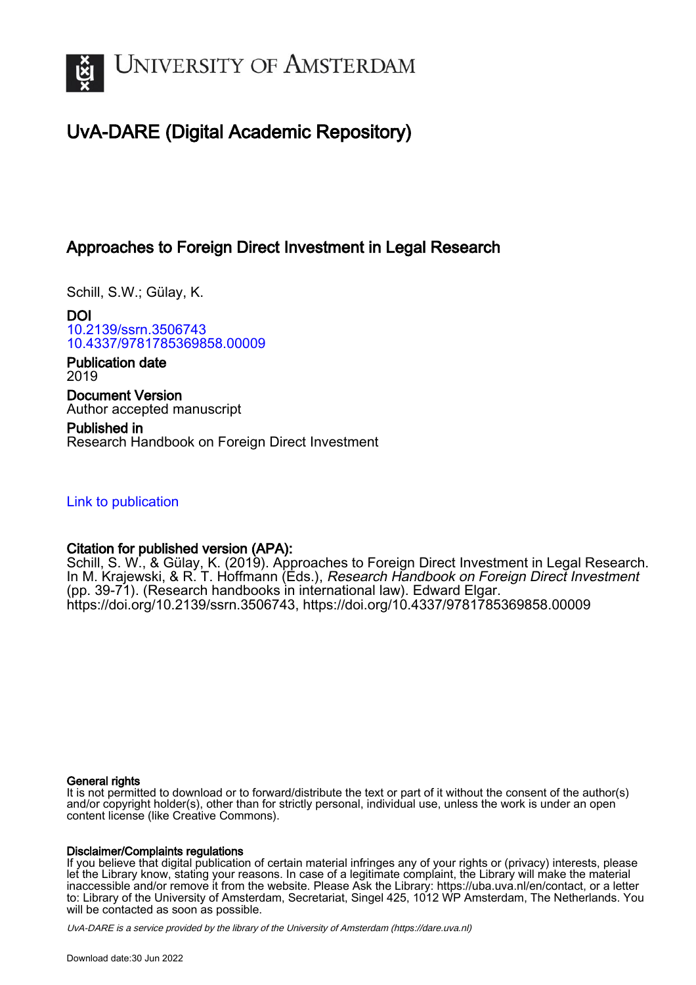

# UvA-DARE (Digital Academic Repository)

## Approaches to Foreign Direct Investment in Legal Research

Schill, S.W.; Gülay, K.

DOI [10.2139/ssrn.3506743](https://doi.org/10.2139/ssrn.3506743) [10.4337/9781785369858.00009](https://doi.org/10.4337/9781785369858.00009)

Publication date 2019

Document Version Author accepted manuscript

Published in Research Handbook on Foreign Direct Investment

[Link to publication](https://dare.uva.nl/personal/pure/en/publications/approaches-to-foreign-direct-investment-in-legal-research(1a2ca069-4ebb-411b-8a4e-b5af5bceaad7).html)

#### Citation for published version (APA):

Schill, S. W., & Gülay, K. (2019). Approaches to Foreign Direct Investment in Legal Research. In M. Krajewski, & R. T. Hoffmann (Eds.), Research Handbook on Foreign Direct Investment (pp. 39-71). (Research handbooks in international law). Edward Elgar. <https://doi.org/10.2139/ssrn.3506743>, <https://doi.org/10.4337/9781785369858.00009>

#### General rights

It is not permitted to download or to forward/distribute the text or part of it without the consent of the author(s) and/or copyright holder(s), other than for strictly personal, individual use, unless the work is under an open content license (like Creative Commons).

#### Disclaimer/Complaints regulations

If you believe that digital publication of certain material infringes any of your rights or (privacy) interests, please let the Library know, stating your reasons. In case of a legitimate complaint, the Library will make the material inaccessible and/or remove it from the website. Please Ask the Library: https://uba.uva.nl/en/contact, or a letter to: Library of the University of Amsterdam, Secretariat, Singel 425, 1012 WP Amsterdam, The Netherlands. You will be contacted as soon as possible.

UvA-DARE is a service provided by the library of the University of Amsterdam (http*s*://dare.uva.nl)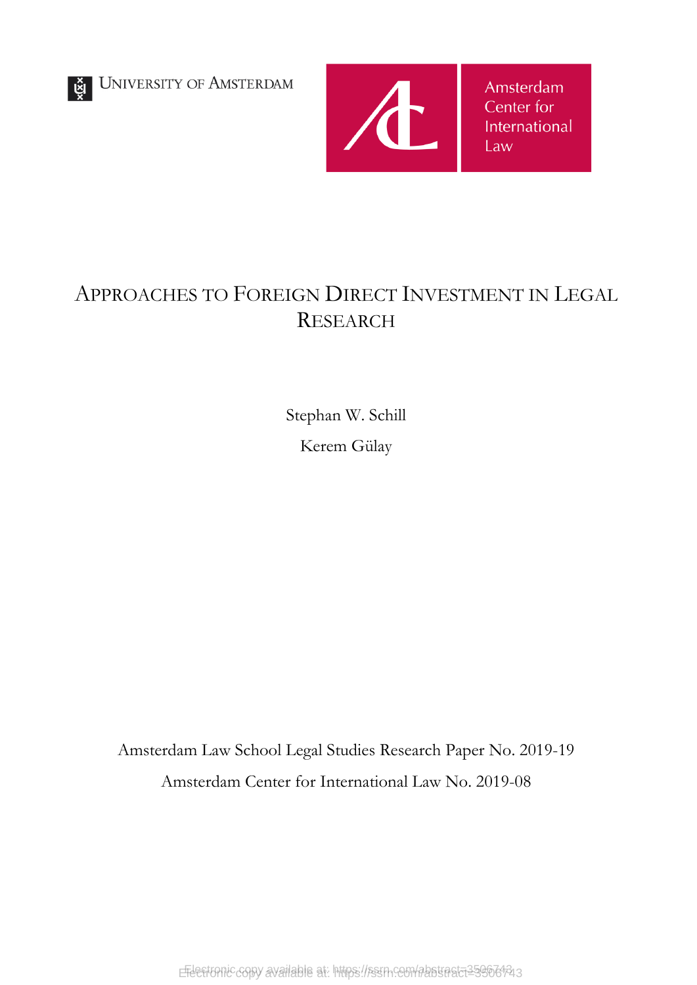UNIVERSITY OF AMSTERDAM



Amsterdam Center for International Law

# APPROACHES TO FOREIGN DIRECT INVESTMENT IN LEGAL RESEARCH

Stephan W. Schill Kerem Gülay

Amsterdam Law School Legal Studies Research Paper No. 2019-19 Amsterdam Center for International Law No. 2019-08

EFLectronic copy available at: https://ssrn.com/abstract=13506143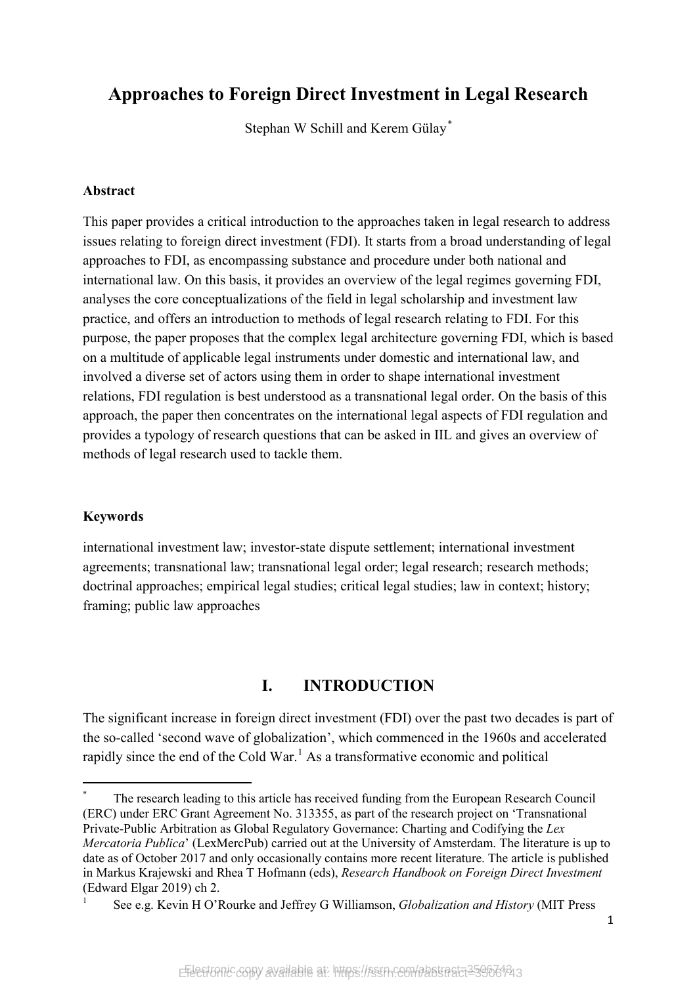## **Approaches to Foreign Direct Investment in Legal Research**

Stephan W Schill and Kerem Gülay*[\\*](#page-2-0)*

#### **Abstract**

This paper provides a critical introduction to the approaches taken in legal research to address issues relating to foreign direct investment (FDI). It starts from a broad understanding of legal approaches to FDI, as encompassing substance and procedure under both national and international law. On this basis, it provides an overview of the legal regimes governing FDI, analyses the core conceptualizations of the field in legal scholarship and investment law practice, and offers an introduction to methods of legal research relating to FDI. For this purpose, the paper proposes that the complex legal architecture governing FDI, which is based on a multitude of applicable legal instruments under domestic and international law, and involved a diverse set of actors using them in order to shape international investment relations, FDI regulation is best understood as a transnational legal order. On the basis of this approach, the paper then concentrates on the international legal aspects of FDI regulation and provides a typology of research questions that can be asked in IIL and gives an overview of methods of legal research used to tackle them.

#### **Keywords**

 $\overline{a}$ 

international investment law; investor-state dispute settlement; international investment agreements; transnational law; transnational legal order; legal research; research methods; doctrinal approaches; empirical legal studies; critical legal studies; law in context; history; framing; public law approaches

## **I. INTRODUCTION**

The significant increase in foreign direct investment (FDI) over the past two decades is part of the so-called 'second wave of globalization', which commenced in the 1960s and accelerated rapidly since the end of the Cold War.<sup>[1](#page-2-1)</sup> As a transformative economic and political

<span id="page-2-0"></span>The research leading to this article has received funding from the European Research Council (ERC) under ERC Grant Agreement No. 313355, as part of the research project on 'Transnational Private-Public Arbitration as Global Regulatory Governance: Charting and Codifying the *Lex Mercatoria Publica*' (LexMercPub) carried out at the University of Amsterdam. The literature is up to date as of October 2017 and only occasionally contains more recent literature. The article is published in Markus Krajewski and Rhea T Hofmann (eds), *Research Handbook on Foreign Direct Investment* (Edward Elgar 2019) ch 2.

<span id="page-2-1"></span><sup>1</sup> See e.g. Kevin H O'Rourke and Jeffrey G Williamson, *Globalization and History* (MIT Press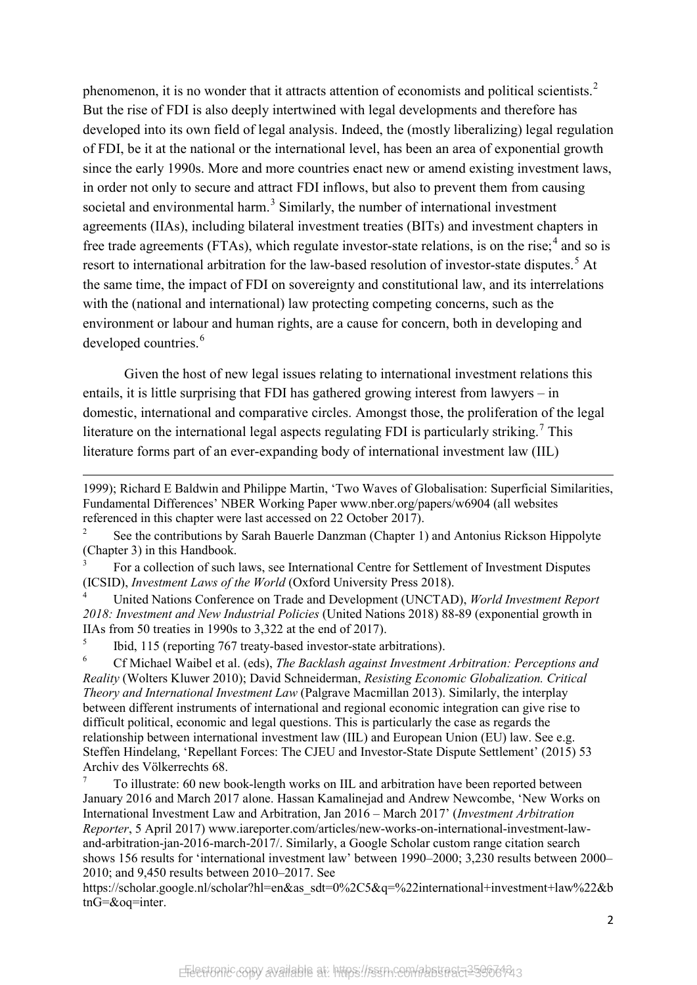phenomenon, it is no wonder that it attracts attention of economists and political scientists.<sup>[2](#page-3-0)</sup> But the rise of FDI is also deeply intertwined with legal developments and therefore has developed into its own field of legal analysis. Indeed, the (mostly liberalizing) legal regulation of FDI, be it at the national or the international level, has been an area of exponential growth since the early 1990s. More and more countries enact new or amend existing investment laws, in order not only to secure and attract FDI inflows, but also to prevent them from causing societal and environmental harm.<sup>[3](#page-3-1)</sup> Similarly, the number of international investment agreements (IIAs), including bilateral investment treaties (BITs) and investment chapters in free trade agreements (FTAs), which regulate investor-state relations, is on the rise;<sup>[4](#page-3-2)</sup> and so is resort to international arbitration for the law-based resolution of investor-state disputes.<sup>[5](#page-3-3)</sup> At the same time, the impact of FDI on sovereignty and constitutional law, and its interrelations with the (national and international) law protecting competing concerns, such as the environment or labour and human rights, are a cause for concern, both in developing and developed countries.<sup>[6](#page-3-4)</sup>

<span id="page-3-6"></span>Given the host of new legal issues relating to international investment relations this entails, it is little surprising that FDI has gathered growing interest from lawyers – in domestic, international and comparative circles. Amongst those, the proliferation of the legal literature on the international legal aspects regulating FDI is particularly striking.<sup>[7](#page-3-5)</sup> This literature forms part of an ever-expanding body of international investment law (IIL)

 $\overline{a}$ 

<span id="page-3-5"></span><sup>7</sup> To illustrate: 60 new book-length works on IIL and arbitration have been reported between January 2016 and March 2017 alone. Hassan Kamalinejad and Andrew Newcombe, 'New Works on International Investment Law and Arbitration, Jan 2016 – March 2017' (*Investment Arbitration Reporter*, 5 April 2017) www.iareporter.com/articles/new-works-on-international-investment-lawand-arbitration-jan-2016-march-2017/. Similarly, a Google Scholar custom range citation search shows 156 results for 'international investment law' between 1990–2000; 3,230 results between 2000– 2010; and 9,450 results between 2010–2017. See

https://scholar.google.nl/scholar?hl=en&as\_sdt=0%2C5&q=%22international+investment+law%22&b tnG=&oq=inter.

<sup>1999);</sup> Richard E Baldwin and Philippe Martin, 'Two Waves of Globalisation: Superficial Similarities, Fundamental Differences' NBER Working Paper www.nber.org/papers/w6904 (all websites referenced in this chapter were last accessed on 22 October 2017).

<span id="page-3-0"></span><sup>2</sup> See the contributions by Sarah Bauerle Danzman (Chapter 1) and Antonius Rickson Hippolyte (Chapter 3) in this Handbook.

<span id="page-3-1"></span><sup>3</sup> For a collection of such laws, see International Centre for Settlement of Investment Disputes (ICSID), *Investment Laws of the World* (Oxford University Press 2018).

<span id="page-3-2"></span><sup>4</sup> United Nations Conference on Trade and Development (UNCTAD), *World Investment Report 2018: Investment and New Industrial Policies* (United Nations 2018) 88-89 (exponential growth in IIAs from 50 treaties in 1990s to 3,322 at the end of 2017).

<span id="page-3-3"></span> $\frac{5}{100}$  Ibid, 115 (reporting 767 treaty-based investor-state arbitrations).

<span id="page-3-4"></span><sup>6</sup> Cf Michael Waibel et al. (eds), *The Backlash against Investment Arbitration: Perceptions and Reality* (Wolters Kluwer 2010); David Schneiderman, *Resisting Economic Globalization. Critical Theory and International Investment Law* (Palgrave Macmillan 2013). Similarly, the interplay between different instruments of international and regional economic integration can give rise to difficult political, economic and legal questions. This is particularly the case as regards the relationship between international investment law (IIL) and European Union (EU) law. See e.g. Steffen Hindelang, 'Repellant Forces: The CJEU and Investor-State Dispute Settlement' (2015) 53 Archiv des Völkerrechts 68.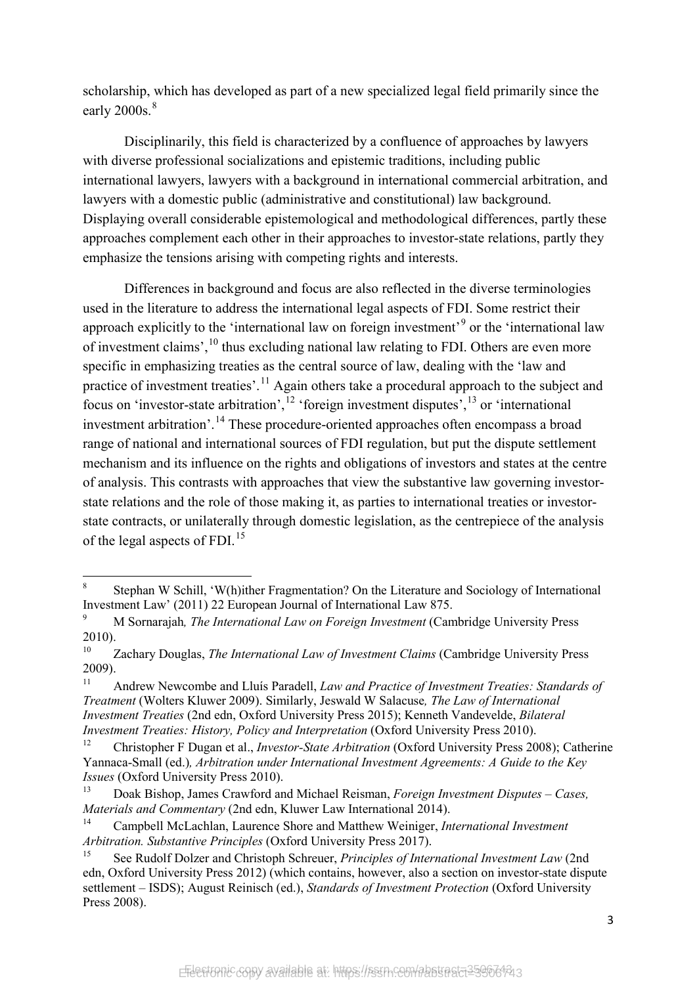scholarship, which has developed as part of a new specialized legal field primarily since the early  $2000s$ .<sup>[8](#page-4-0)</sup>

Disciplinarily, this field is characterized by a confluence of approaches by lawyers with diverse professional socializations and epistemic traditions, including public international lawyers, lawyers with a background in international commercial arbitration, and lawyers with a domestic public (administrative and constitutional) law background. Displaying overall considerable epistemological and methodological differences, partly these approaches complement each other in their approaches to investor-state relations, partly they emphasize the tensions arising with competing rights and interests.

Differences in background and focus are also reflected in the diverse terminologies used in the literature to address the international legal aspects of FDI. Some restrict their approach explicitly to the 'international law on foreign investment'<sup>[9](#page-4-1)</sup> or the 'international law of investment claims', <sup>[10](#page-4-2)</sup> thus excluding national law relating to FDI. Others are even more specific in emphasizing treaties as the central source of law, dealing with the 'law and practice of investment treaties'.<sup>[11](#page-4-3)</sup> Again others take a procedural approach to the subject and focus on 'investor-state arbitration',  $^{12}$  $^{12}$  $^{12}$  'foreign investment disputes',  $^{13}$  $^{13}$  $^{13}$  or 'international investment arbitration'.<sup>[14](#page-4-6)</sup> These procedure-oriented approaches often encompass a broad range of national and international sources of FDI regulation, but put the dispute settlement mechanism and its influence on the rights and obligations of investors and states at the centre of analysis. This contrasts with approaches that view the substantive law governing investorstate relations and the role of those making it, as parties to international treaties or investorstate contracts, or unilaterally through domestic legislation, as the centrepiece of the analysis of the legal aspects of FDI.[15](#page-4-7)

<span id="page-4-0"></span> $\,8\,$ <sup>8</sup> Stephan W Schill, 'W(h)ither Fragmentation? On the Literature and Sociology of International Investment Law' (2011) 22 European Journal of International Law 875.

<span id="page-4-1"></span><sup>9</sup> M Sornarajah*, The International Law on Foreign Investment* (Cambridge University Press 2010).

<span id="page-4-2"></span><sup>10</sup> Zachary Douglas, *The International Law of Investment Claims* (Cambridge University Press 2009).

<span id="page-4-3"></span><sup>11</sup> Andrew Newcombe and Lluís Paradell, *Law and Practice of Investment Treaties: Standards of Treatment* (Wolters Kluwer 2009). Similarly, Jeswald W Salacuse*, The Law of International Investment Treaties* (2nd edn, Oxford University Press 2015); Kenneth Vandevelde, *Bilateral Investment Treaties: History, Policy and Interpretation* (Oxford University Press 2010).

<span id="page-4-4"></span><sup>12</sup> Christopher F Dugan et al., *Investor-State Arbitration* (Oxford University Press 2008); Catherine Yannaca-Small (ed.)*, Arbitration under International Investment Agreements: A Guide to the Key Issues* (Oxford University Press 2010).

<span id="page-4-5"></span><sup>13</sup> Doak Bishop, James Crawford and Michael Reisman, *Foreign Investment Disputes – Cases, Materials and Commentary* (2nd edn, Kluwer Law International 2014).

<span id="page-4-6"></span><sup>14</sup> Campbell McLachlan, Laurence Shore and Matthew Weiniger, *International Investment Arbitration. Substantive Principles* (Oxford University Press 2017).

<span id="page-4-7"></span><sup>15</sup> See Rudolf Dolzer and Christoph Schreuer, *Principles of International Investment Law* (2nd edn, Oxford University Press 2012) (which contains, however, also a section on investor-state dispute settlement – ISDS); August Reinisch (ed.), *Standards of Investment Protection* (Oxford University Press 2008).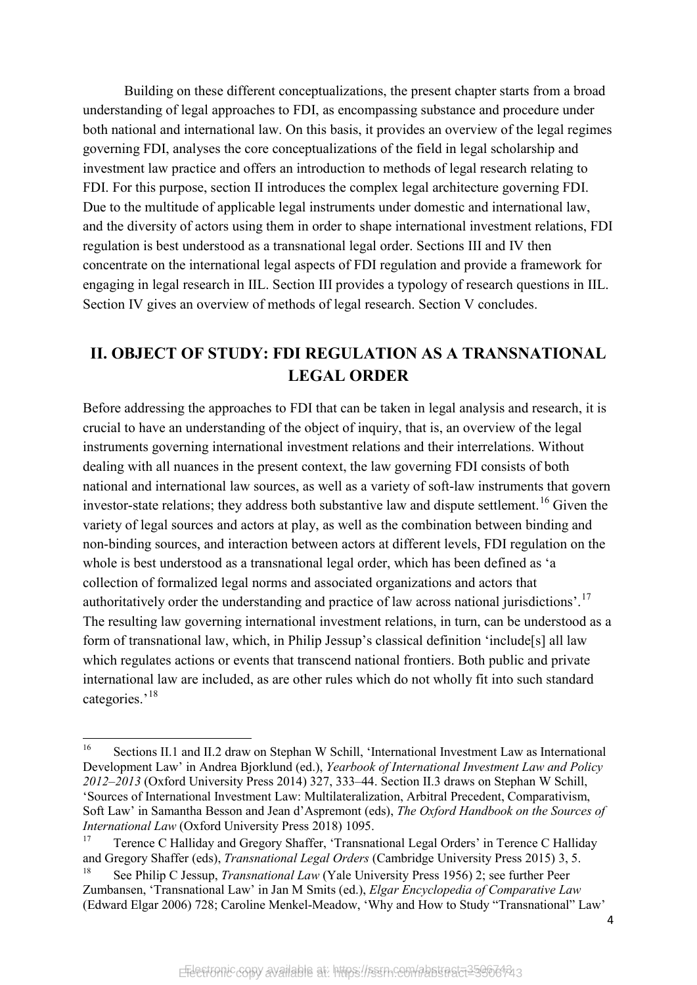Building on these different conceptualizations, the present chapter starts from a broad understanding of legal approaches to FDI, as encompassing substance and procedure under both national and international law. On this basis, it provides an overview of the legal regimes governing FDI, analyses the core conceptualizations of the field in legal scholarship and investment law practice and offers an introduction to methods of legal research relating to FDI. For this purpose, section II introduces the complex legal architecture governing FDI. Due to the multitude of applicable legal instruments under domestic and international law, and the diversity of actors using them in order to shape international investment relations, FDI regulation is best understood as a transnational legal order. Sections III and IV then concentrate on the international legal aspects of FDI regulation and provide a framework for engaging in legal research in IIL. Section III provides a typology of research questions in IIL. Section IV gives an overview of methods of legal research. Section V concludes.

## **II. OBJECT OF STUDY: FDI REGULATION AS A TRANSNATIONAL LEGAL ORDER**

Before addressing the approaches to FDI that can be taken in legal analysis and research, it is crucial to have an understanding of the object of inquiry, that is, an overview of the legal instruments governing international investment relations and their interrelations. Without dealing with all nuances in the present context, the law governing FDI consists of both national and international law sources, as well as a variety of soft-law instruments that govern investor-state relations; they address both substantive law and dispute settlement.<sup>[16](#page-5-0)</sup> Given the variety of legal sources and actors at play, as well as the combination between binding and non-binding sources, and interaction between actors at different levels, FDI regulation on the whole is best understood as a transnational legal order, which has been defined as 'a collection of formalized legal norms and associated organizations and actors that authoritatively order the understanding and practice of law across national jurisdictions'.[17](#page-5-1) The resulting law governing international investment relations, in turn, can be understood as a form of transnational law, which, in Philip Jessup's classical definition 'include[s] all law which regulates actions or events that transcend national frontiers. Both public and private international law are included, as are other rules which do not wholly fit into such standard categories.'<sup>[18](#page-5-2)</sup>

<span id="page-5-0"></span> $16\,$ <sup>16</sup> Sections II.1 and II.2 draw on Stephan W Schill, 'International Investment Law as International Development Law' in Andrea Bjorklund (ed.), *Yearbook of International Investment Law and Policy 2012–2013* (Oxford University Press 2014) 327, 333–44. Section II.3 draws on Stephan W Schill, 'Sources of International Investment Law: Multilateralization, Arbitral Precedent, Comparativism, Soft Law' in Samantha Besson and Jean d'Aspremont (eds), *The Oxford Handbook on the Sources of International Law* (Oxford University Press 2018) 1095.

<span id="page-5-1"></span><sup>&</sup>lt;sup>17</sup> Terence C Halliday and Gregory Shaffer, 'Transnational Legal Orders' in Terence C Halliday and Gregory Shaffer (eds), *Transnational Legal Orders* (Cambridge University Press 2015) 3, 5.

<span id="page-5-2"></span><sup>18</sup> See Philip C Jessup, *Transnational Law* (Yale University Press 1956) 2; see further Peer Zumbansen, 'Transnational Law' in Jan M Smits (ed.), *Elgar Encyclopedia of Comparative Law* (Edward Elgar 2006) 728; Caroline Menkel-Meadow, 'Why and How to Study "Transnational" Law'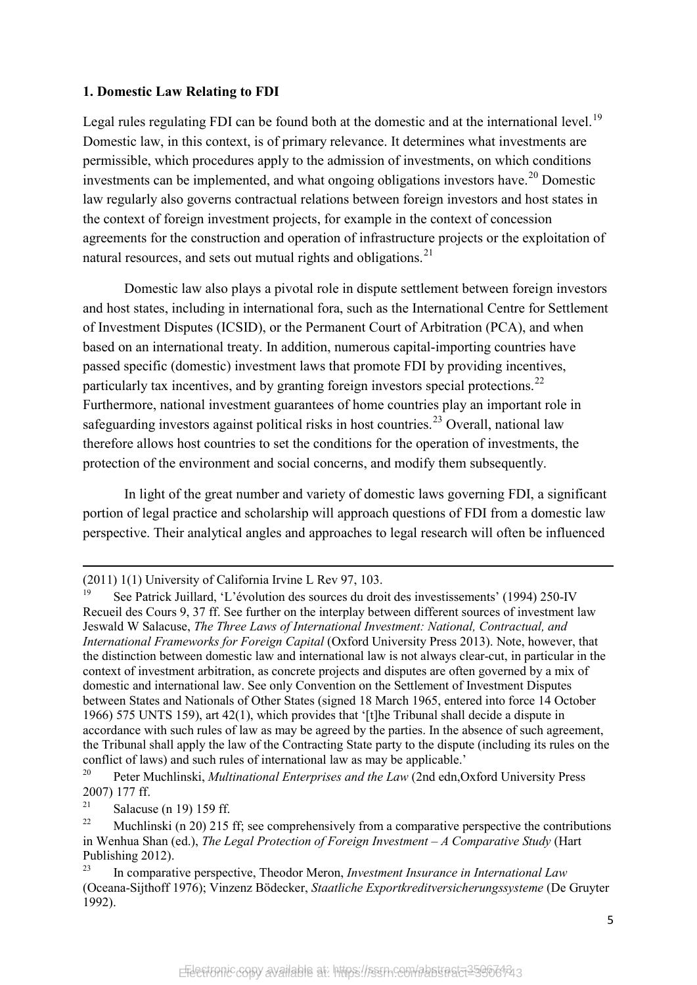#### **1. Domestic Law Relating to FDI**

Legal rules regulating FDI can be found both at the domestic and at the international level.<sup>[19](#page-6-0)</sup> Domestic law, in this context, is of primary relevance. It determines what investments are permissible, which procedures apply to the admission of investments, on which conditions investments can be implemented, and what ongoing obligations investors have.<sup>[20](#page-6-1)</sup> Domestic law regularly also governs contractual relations between foreign investors and host states in the context of foreign investment projects, for example in the context of concession agreements for the construction and operation of infrastructure projects or the exploitation of natural resources, and sets out mutual rights and obligations. $^{21}$  $^{21}$  $^{21}$ 

<span id="page-6-5"></span>Domestic law also plays a pivotal role in dispute settlement between foreign investors and host states, including in international fora, such as the International Centre for Settlement of Investment Disputes (ICSID), or the Permanent Court of Arbitration (PCA), and when based on an international treaty. In addition, numerous capital-importing countries have passed specific (domestic) investment laws that promote FDI by providing incentives, particularly tax incentives, and by granting foreign investors special protections.<sup>[22](#page-6-3)</sup> Furthermore, national investment guarantees of home countries play an important role in safeguarding investors against political risks in host countries.<sup>[23](#page-6-4)</sup> Overall, national law therefore allows host countries to set the conditions for the operation of investments, the protection of the environment and social concerns, and modify them subsequently.

In light of the great number and variety of domestic laws governing FDI, a significant portion of legal practice and scholarship will approach questions of FDI from a domestic law perspective. Their analytical angles and approaches to legal research will often be influenced

 $\overline{a}$ 

<sup>(2011) 1(1)</sup> University of California Irvine L Rev 97, 103.

<span id="page-6-0"></span><sup>19</sup> See Patrick Juillard, 'L'évolution des sources du droit des investissements' (1994) 250-IV Recueil des Cours 9, 37 ff. See further on the interplay between different sources of investment law Jeswald W Salacuse, *The Three Laws of International Investment: National, Contractual, and International Frameworks for Foreign Capital* (Oxford University Press 2013). Note, however, that the distinction between domestic law and international law is not always clear-cut, in particular in the context of investment arbitration, as concrete projects and disputes are often governed by a mix of domestic and international law. See only Convention on the Settlement of Investment Disputes between States and Nationals of Other States (signed 18 March 1965, entered into force 14 October 1966) 575 UNTS 159), art 42(1), which provides that '[t]he Tribunal shall decide a dispute in accordance with such rules of law as may be agreed by the parties. In the absence of such agreement, the Tribunal shall apply the law of the Contracting State party to the dispute (including its rules on the conflict of laws) and such rules of international law as may be applicable.'

<span id="page-6-1"></span><sup>20</sup> Peter Muchlinski, *Multinational Enterprises and the Law* (2nd edn,Oxford University Press 2007) 177 ff.

<span id="page-6-2"></span><sup>&</sup>lt;sup>21</sup> Salacuse (n 19) 159 ff.

<span id="page-6-3"></span><sup>&</sup>lt;sup>22</sup> Muchlinski (n 20) 215 ff; see comprehensively from a comparative perspective the contributions in Wenhua Shan (ed.), *The Legal Protection of Foreign Investment – A Comparative Study* (Hart Publishing 2012).

<span id="page-6-4"></span><sup>23</sup> In comparative perspective, Theodor Meron, *Investment Insurance in International Law* (Oceana-Sijthoff 1976); Vinzenz Bödecker, *Staatliche Exportkreditversicherungssysteme* (De Gruyter 1992).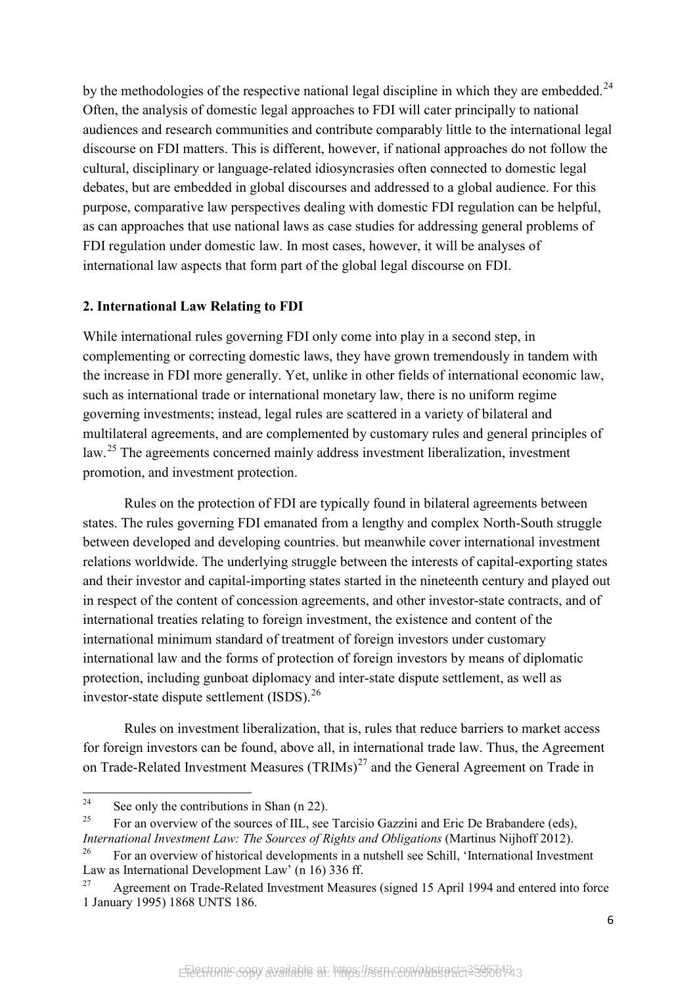by the methodologies of the respective national legal discipline in which they are embedded.<sup>[24](#page-7-0)</sup> Often, the analysis of domestic legal approaches to FDI will cater principally to national audiences and research communities and contribute comparably little to the international legal discourse on FDI matters. This is different, however, if national approaches do not follow the cultural, disciplinary or language-related idiosyncrasies often connected to domestic legal debates, but are embedded in global discourses and addressed to a global audience. For this purpose, comparative law perspectives dealing with domestic FDI regulation can be helpful, as can approaches that use national laws as case studies for addressing general problems of FDI regulation under domestic law. In most cases, however, it will be analyses of international law aspects that form part of the global legal discourse on FDI.

#### **2. International Law Relating to FDI**

While international rules governing FDI only come into play in a second step, in complementing or correcting domestic laws, they have grown tremendously in tandem with the increase in FDI more generally. Yet, unlike in other fields of international economic law, such as international trade or international monetary law, there is no uniform regime governing investments; instead, legal rules are scattered in a variety of bilateral and multilateral agreements, and are complemented by customary rules and general principles of law.[25](#page-7-1) The agreements concerned mainly address investment liberalization, investment promotion, and investment protection.

Rules on the protection of FDI are typically found in bilateral agreements between states. The rules governing FDI emanated from a lengthy and complex North-South struggle between developed and developing countries. but meanwhile cover international investment relations worldwide. The underlying struggle between the interests of capital-exporting states and their investor and capital-importing states started in the nineteenth century and played out in respect of the content of concession agreements, and other investor-state contracts, and of international treaties relating to foreign investment, the existence and content of the international minimum standard of treatment of foreign investors under customary international law and the forms of protection of foreign investors by means of diplomatic protection, including gunboat diplomacy and inter-state dispute settlement, as well as investor-state dispute settlement (ISDS). $^{26}$  $^{26}$  $^{26}$ 

Rules on investment liberalization, that is, rules that reduce barriers to market access for foreign investors can be found, above all, in international trade law. Thus, the Agreement on Trade-Related Investment Measures (TRIMs)<sup>[27](#page-7-3)</sup> and the General Agreement on Trade in

<span id="page-7-0"></span> $24$ See only the contributions in Shan ([n 22\)](#page-6-5).

<span id="page-7-1"></span><sup>&</sup>lt;sup>25</sup> For an overview of the sources of IIL, see Tarcisio Gazzini and Eric De Brabandere (eds), *International Investment Law: The Sources of Rights and Obligations (Martinus Nijhoff 2012).* 

<span id="page-7-2"></span><sup>&</sup>lt;sup>26</sup> For an overview of historical developments in a nutshell see Schill, 'International Investment Law as International Development Law' (n 16) 336 ff.

<span id="page-7-3"></span><sup>&</sup>lt;sup>27</sup> Agreement on Trade-Related Investment Measures (signed 15 April 1994 and entered into force 1 January 1995) 1868 UNTS 186.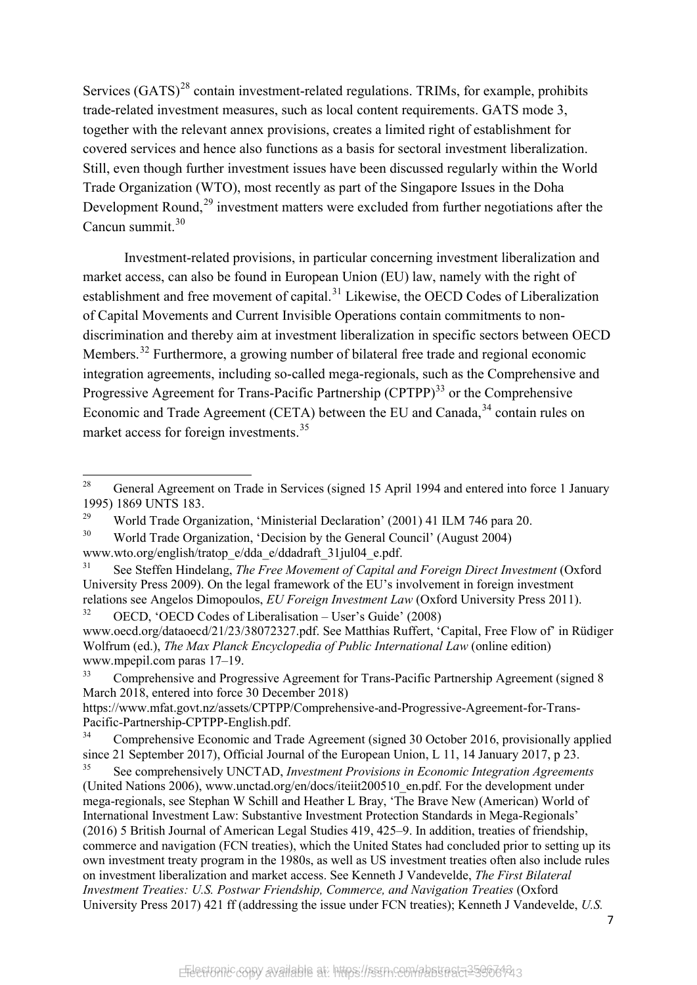Services  $(GATS)^{28}$  $(GATS)^{28}$  $(GATS)^{28}$  contain investment-related regulations. TRIMs, for example, prohibits trade-related investment measures, such as local content requirements. GATS mode 3, together with the relevant annex provisions, creates a limited right of establishment for covered services and hence also functions as a basis for sectoral investment liberalization. Still, even though further investment issues have been discussed regularly within the World Trade Organization (WTO), most recently as part of the Singapore Issues in the Doha Development Round,<sup>[29](#page-8-1)</sup> investment matters were excluded from further negotiations after the Cancun summit.<sup>[30](#page-8-2)</sup>

Investment-related provisions, in particular concerning investment liberalization and market access, can also be found in European Union (EU) law, namely with the right of establishment and free movement of capital.<sup>[31](#page-8-3)</sup> Likewise, the OECD Codes of Liberalization of Capital Movements and Current Invisible Operations contain commitments to nondiscrimination and thereby aim at investment liberalization in specific sectors between OECD Members.<sup>[32](#page-8-4)</sup> Furthermore, a growing number of bilateral free trade and regional economic integration agreements, including so-called mega-regionals, such as the Comprehensive and Progressive Agreement for Trans-Pacific Partnership  $(CPTPP)^{33}$  $(CPTPP)^{33}$  $(CPTPP)^{33}$  or the Comprehensive Economic and Trade Agreement (CETA) between the EU and Canada,<sup>[34](#page-8-6)</sup> contain rules on market access for foreign investments.<sup>[35](#page-8-7)</sup>

<span id="page-8-0"></span><sup>28</sup> General Agreement on Trade in Services (signed 15 April 1994 and entered into force 1 January 1995) 1869 UNTS 183.

<span id="page-8-1"></span><sup>&</sup>lt;sup>29</sup> World Trade Organization, 'Ministerial Declaration' (2001) 41 ILM 746 para 20.

<span id="page-8-2"></span><sup>&</sup>lt;sup>30</sup> World Trade Organization, 'Decision by the General Council' (August 2004) www.wto.org/english/tratop\_e/dda\_e/ddadraft\_31jul04\_e.pdf.

<span id="page-8-3"></span><sup>31</sup> See Steffen Hindelang, *The Free Movement of Capital and Foreign Direct Investment* (Oxford University Press 2009). On the legal framework of the EU's involvement in foreign investment relations see Angelos Dimopoulos, *EU Foreign Investment Law* (Oxford University Press 2011).

<span id="page-8-4"></span> $32$  OECD, 'OECD Codes of Liberalisation – User's Guide' (2008) www.oecd.org/dataoecd/21/23/38072327.pdf. See Matthias Ruffert, 'Capital, Free Flow of' in Rüdiger Wolfrum (ed.), *The Max Planck Encyclopedia of Public International Law* (online edition) www.mpepil.com paras 17–19.

<span id="page-8-5"></span><sup>&</sup>lt;sup>33</sup> Comprehensive and Progressive Agreement for Trans-Pacific Partnership Agreement (signed 8 March 2018, entered into force 30 December 2018)

https://www.mfat.govt.nz/assets/CPTPP/Comprehensive-and-Progressive-Agreement-for-Trans-Pacific-Partnership-CPTPP-English.pdf.

<span id="page-8-6"></span>Comprehensive Economic and Trade Agreement (signed 30 October 2016, provisionally applied since 21 September 2017), Official Journal of the European Union, L 11, 14 January 2017, p 23.

<span id="page-8-7"></span><sup>35</sup> See comprehensively UNCTAD, *Investment Provisions in Economic Integration Agreements* (United Nations 2006), www.unctad.org/en/docs/iteiit200510\_en.pdf. For the development under mega-regionals, see Stephan W Schill and Heather L Bray, 'The Brave New (American) World of International Investment Law: Substantive Investment Protection Standards in Mega-Regionals' (2016) 5 British Journal of American Legal Studies 419, 425–9. In addition, treaties of friendship, commerce and navigation (FCN treaties), which the United States had concluded prior to setting up its own investment treaty program in the 1980s, as well as US investment treaties often also include rules on investment liberalization and market access. See Kenneth J Vandevelde, *The First Bilateral Investment Treaties: U.S. Postwar Friendship, Commerce, and Navigation Treaties* (Oxford University Press 2017) 421 ff (addressing the issue under FCN treaties); Kenneth J Vandevelde, *U.S.*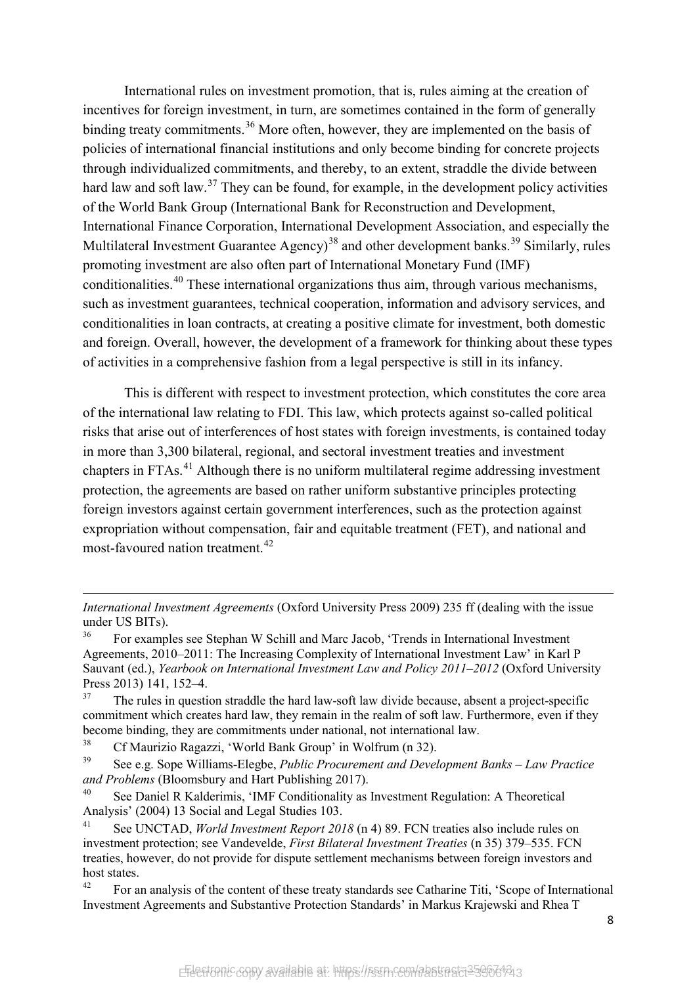International rules on investment promotion, that is, rules aiming at the creation of incentives for foreign investment, in turn, are sometimes contained in the form of generally binding treaty commitments.<sup>[36](#page-9-0)</sup> More often, however, they are implemented on the basis of policies of international financial institutions and only become binding for concrete projects through individualized commitments, and thereby, to an extent, straddle the divide between hard law and soft law.<sup>[37](#page-9-1)</sup> They can be found, for example, in the development policy activities of the World Bank Group (International Bank for Reconstruction and Development, International Finance Corporation, International Development Association, and especially the Multilateral Investment Guarantee Agency)<sup>[38](#page-9-2)</sup> and other development banks.<sup>[39](#page-9-3)</sup> Similarly, rules promoting investment are also often part of International Monetary Fund (IMF) conditionalities.<sup>[40](#page-9-4)</sup> These international organizations thus aim, through various mechanisms, such as investment guarantees, technical cooperation, information and advisory services, and conditionalities in loan contracts, at creating a positive climate for investment, both domestic and foreign. Overall, however, the development of a framework for thinking about these types of activities in a comprehensive fashion from a legal perspective is still in its infancy.

This is different with respect to investment protection, which constitutes the core area of the international law relating to FDI. This law, which protects against so-called political risks that arise out of interferences of host states with foreign investments, is contained today in more than 3,300 bilateral, regional, and sectoral investment treaties and investment chapters in FTAs.<sup>[41](#page-9-5)</sup> Although there is no uniform multilateral regime addressing investment protection, the agreements are based on rather uniform substantive principles protecting foreign investors against certain government interferences, such as the protection against expropriation without compensation, fair and equitable treatment (FET), and national and most-favoured nation treatment.<sup>[42](#page-9-6)</sup>

<span id="page-9-1"></span>The rules in question straddle the hard law-soft law divide because, absent a project-specific commitment which creates hard law, they remain in the realm of soft law. Furthermore, even if they become binding, they are commitments under national, not international law.

<sup>38</sup> Cf Maurizio Ragazzi, 'World Bank Group' in Wolfrum (n 32).

 $\overline{a}$ 

<span id="page-9-3"></span><span id="page-9-2"></span><sup>39</sup> See e.g. Sope Williams-Elegbe, *Public Procurement and Development Banks – Law Practice and Problems* (Bloomsbury and Hart Publishing 2017).

<span id="page-9-4"></span><sup>40</sup> See Daniel R Kalderimis, 'IMF Conditionality as Investment Regulation: A Theoretical Analysis' (2004) 13 Social and Legal Studies 103.

<span id="page-9-5"></span><sup>41</sup> See UNCTAD, *World Investment Report 2018* (n 4) 89. FCN treaties also include rules on investment protection; see Vandevelde, *First Bilateral Investment Treaties* (n 35) 379–535. FCN treaties, however, do not provide for dispute settlement mechanisms between foreign investors and host states.

<span id="page-9-6"></span><sup>42</sup> For an analysis of the content of these treaty standards see Catharine Titi, 'Scope of International Investment Agreements and Substantive Protection Standards' in Markus Krajewski and Rhea T

*International Investment Agreements* (Oxford University Press 2009) 235 ff (dealing with the issue under US BITs).<br> $^{36}$  Eor event

<span id="page-9-0"></span><sup>36</sup> For examples see Stephan W Schill and Marc Jacob, 'Trends in International Investment Agreements, 2010–2011: The Increasing Complexity of International Investment Law' in Karl P Sauvant (ed.), *Yearbook on International Investment Law and Policy 2011–2012* (Oxford University Press 2013) 141, 152–4.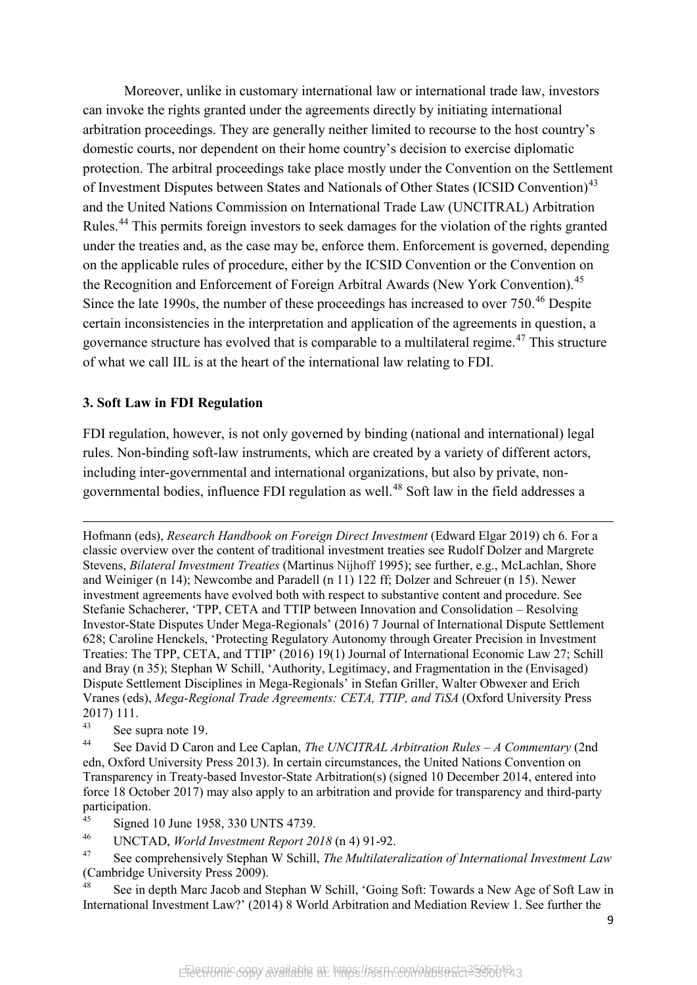Moreover, unlike in customary international law or international trade law, investors can invoke the rights granted under the agreements directly by initiating international arbitration proceedings. They are generally neither limited to recourse to the host country's domestic courts, nor dependent on their home country's decision to exercise diplomatic protection. The arbitral proceedings take place mostly under the Convention on the Settlement of Investment Disputes between States and Nationals of Other States (ICSID Convention)<sup>[43](#page-10-0)</sup> and the United Nations Commission on International Trade Law (UNCITRAL) Arbitration Rules.<sup>[44](#page-10-1)</sup> This permits foreign investors to seek damages for the violation of the rights granted under the treaties and, as the case may be, enforce them. Enforcement is governed, depending on the applicable rules of procedure, either by the ICSID Convention or the Convention on the Recognition and Enforcement of Foreign Arbitral Awards (New York Convention).<sup>[45](#page-10-2)</sup> Since the late 1990s, the number of these proceedings has increased to over 750.<sup>[46](#page-10-3)</sup> Despite certain inconsistencies in the interpretation and application of the agreements in question, a governance structure has evolved that is comparable to a multilateral regime.<sup> $47$ </sup> This structure of what we call IIL is at the heart of the international law relating to FDI.

#### **3. Soft Law in FDI Regulation**

FDI regulation, however, is not only governed by binding (national and international) legal rules. Non-binding soft-law instruments, which are created by a variety of different actors, including inter-governmental and international organizations, but also by private, non-governmental bodies, influence FDI regulation as well.<sup>[48](#page-10-5)</sup> Soft law in the field addresses a

Hofmann (eds), *Research Handbook on Foreign Direct Investment* (Edward Elgar 2019) ch 6. For a classic overview over the content of traditional investment treaties see Rudolf Dolzer and Margrete Stevens, *Bilateral Investment Treaties* (Martinus Nijhoff 1995); see further, e.g., McLachlan, Shore and Weiniger (n 14); Newcombe and Paradell (n 11) 122 ff; Dolzer and Schreuer (n 15). Newer investment agreements have evolved both with respect to substantive content and procedure. See Stefanie Schacherer, 'TPP, CETA and TTIP between Innovation and Consolidation – Resolving Investor-State Disputes Under Mega-Regionals' (2016) 7 Journal of International Dispute Settlement 628; Caroline Henckels, 'Protecting Regulatory Autonomy through Greater Precision in Investment Treaties: The TPP, CETA, and TTIP' (2016) 19(1) Journal of International Economic Law 27; Schill and Bray (n 35); Stephan W Schill, 'Authority, Legitimacy, and Fragmentation in the (Envisaged) Dispute Settlement Disciplines in Mega-Regionals' in Stefan Griller, Walter Obwexer and Erich Vranes (eds), *Mega-Regional Trade Agreements: CETA, TTIP, and TiSA* (Oxford University Press  $2017)$  111.

<u>.</u>

<span id="page-10-1"></span><sup>44</sup> See David D Caron and Lee Caplan, *The UNCITRAL Arbitration Rules – A Commentary* (2nd edn, Oxford University Press 2013). In certain circumstances, the United Nations Convention on Transparency in Treaty-based Investor-State Arbitration(s) (signed 10 December 2014, entered into force 18 October 2017) may also apply to an arbitration and provide for transparency and third-party participation.

<sup>46</sup> UNCTAD, *World Investment Report 2018* (n 4) 91-92.

<span id="page-10-0"></span> $^{43}$  See supra note 19.

<span id="page-10-2"></span><sup>&</sup>lt;sup>45</sup> Signed 10 June 1958, 330 UNTS 4739.

<span id="page-10-4"></span><span id="page-10-3"></span><sup>47</sup> See comprehensively Stephan W Schill, *The Multilateralization of International Investment Law* (Cambridge University Press 2009).

<span id="page-10-5"></span>See in depth Marc Jacob and Stephan W Schill, 'Going Soft: Towards a New Age of Soft Law in International Investment Law?' (2014) 8 World Arbitration and Mediation Review 1. See further the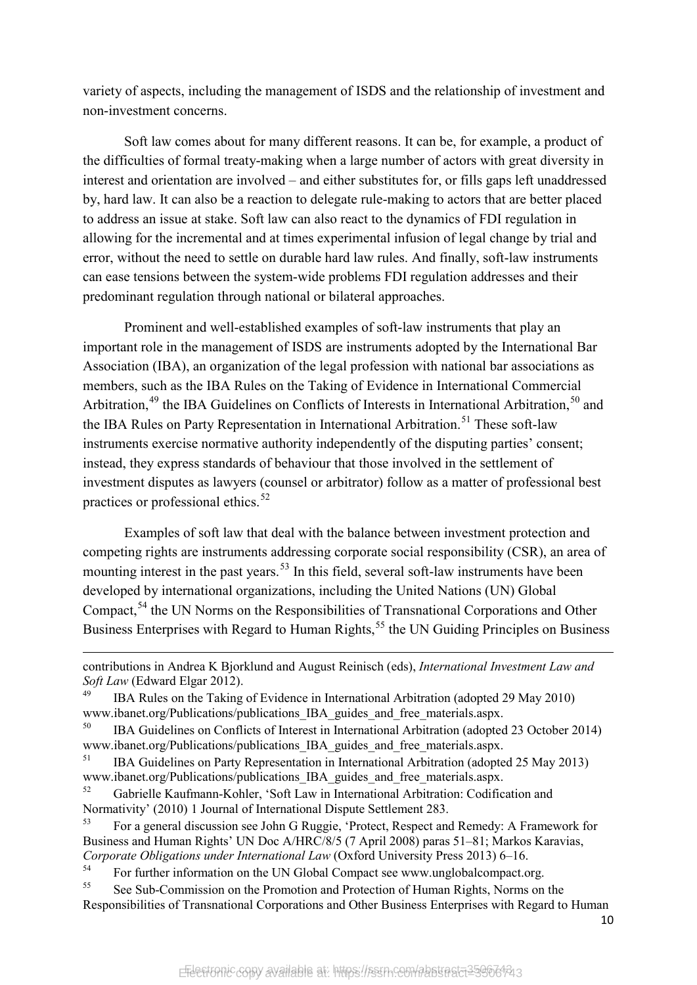variety of aspects, including the management of ISDS and the relationship of investment and non-investment concerns.

Soft law comes about for many different reasons. It can be, for example, a product of the difficulties of formal treaty-making when a large number of actors with great diversity in interest and orientation are involved – and either substitutes for, or fills gaps left unaddressed by, hard law. It can also be a reaction to delegate rule-making to actors that are better placed to address an issue at stake. Soft law can also react to the dynamics of FDI regulation in allowing for the incremental and at times experimental infusion of legal change by trial and error, without the need to settle on durable hard law rules. And finally, soft-law instruments can ease tensions between the system-wide problems FDI regulation addresses and their predominant regulation through national or bilateral approaches.

Prominent and well-established examples of soft-law instruments that play an important role in the management of ISDS are instruments adopted by the International Bar Association (IBA), an organization of the legal profession with national bar associations as members, such as the IBA Rules on the Taking of Evidence in International Commercial Arbitration,<sup>[49](#page-11-0)</sup> the IBA Guidelines on Conflicts of Interests in International Arbitration,<sup>[50](#page-11-1)</sup> and the IBA Rules on Party Representation in International Arbitration.<sup>[51](#page-11-2)</sup> These soft-law instruments exercise normative authority independently of the disputing parties' consent; instead, they express standards of behaviour that those involved in the settlement of investment disputes as lawyers (counsel or arbitrator) follow as a matter of professional best practices or professional ethics.<sup>[52](#page-11-3)</sup>

Examples of soft law that deal with the balance between investment protection and competing rights are instruments addressing corporate social responsibility (CSR), an area of mounting interest in the past years.<sup>[53](#page-11-4)</sup> In this field, several soft-law instruments have been developed by international organizations, including the United Nations (UN) Global Compact,<sup>[54](#page-11-5)</sup> the UN Norms on the Responsibilities of Transnational Corporations and Other Business Enterprises with Regard to Human Rights,<sup>[55](#page-11-6)</sup> the UN Guiding Principles on Business

 $\overline{a}$ 

contributions in Andrea K Bjorklund and August Reinisch (eds), *International Investment Law and Soft Law* (Edward Elgar 2012).

<span id="page-11-0"></span><sup>49</sup> IBA Rules on the Taking of Evidence in International Arbitration (adopted 29 May 2010) www.ibanet.org/Publications/publications\_IBA\_guides\_and\_free\_materials.aspx.

<span id="page-11-1"></span><sup>&</sup>lt;sup>50</sup> IBA Guidelines on Conflicts of Interest in International Arbitration (adopted 23 October 2014) www.ibanet.org/Publications/publications IBA guides and free materials.aspx.

<span id="page-11-2"></span><sup>&</sup>lt;sup>51</sup> IBA Guidelines on Party Representation in International Arbitration (adopted 25 May 2013) www.ibanet.org/Publications/publications\_IBA\_guides\_and\_free\_materials.aspx.

<span id="page-11-3"></span><sup>52</sup> Gabrielle Kaufmann-Kohler, 'Soft Law in International Arbitration: Codification and Normativity' (2010) 1 Journal of International Dispute Settlement 283.

<span id="page-11-4"></span><sup>53</sup> For a general discussion see John G Ruggie, 'Protect, Respect and Remedy: A Framework for Business and Human Rights' UN Doc A/HRC/8/5 (7 April 2008) paras 51–81; Markos Karavias, *Corporate Obligations under International Law* (Oxford University Press 2013) 6–16.

<span id="page-11-5"></span><sup>&</sup>lt;sup>54</sup> For further information on the UN Global Compact see www.unglobalcompact.org.

<span id="page-11-6"></span><sup>&</sup>lt;sup>55</sup> See Sub-Commission on the Promotion and Protection of Human Rights, Norms on the Responsibilities of Transnational Corporations and Other Business Enterprises with Regard to Human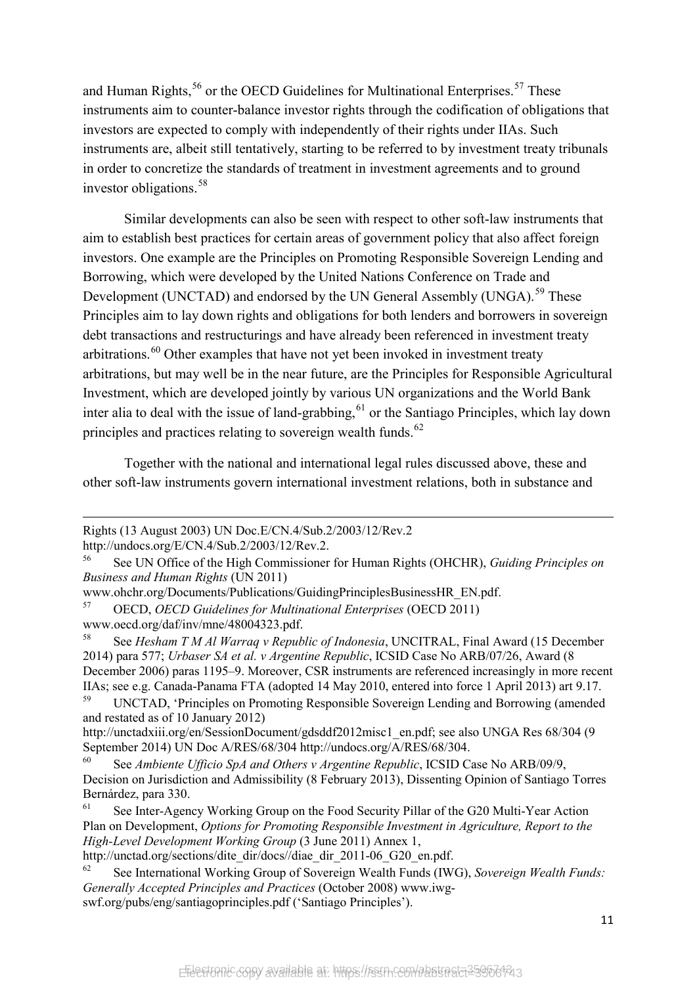and Human Rights,<sup>[56](#page-12-0)</sup> or the OECD Guidelines for Multinational Enterprises.<sup>[57](#page-12-1)</sup> These instruments aim to counter-balance investor rights through the codification of obligations that investors are expected to comply with independently of their rights under IIAs. Such instruments are, albeit still tentatively, starting to be referred to by investment treaty tribunals in order to concretize the standards of treatment in investment agreements and to ground investor obligations.<sup>[58](#page-12-2)</sup>

Similar developments can also be seen with respect to other soft-law instruments that aim to establish best practices for certain areas of government policy that also affect foreign investors. One example are the Principles on Promoting Responsible Sovereign Lending and Borrowing, which were developed by the United Nations Conference on Trade and Development (UNCTAD) and endorsed by the UN General Assembly (UNGA).<sup>[59](#page-12-3)</sup> These Principles aim to lay down rights and obligations for both lenders and borrowers in sovereign debt transactions and restructurings and have already been referenced in investment treaty  $arbitrations.$ <sup>[60](#page-12-4)</sup> Other examples that have not vet been invoked in investment treaty arbitrations, but may well be in the near future, are the Principles for Responsible Agricultural Investment, which are developed jointly by various UN organizations and the World Bank inter alia to deal with the issue of land-grabbing,  $61$  or the Santiago Principles, which lay down principles and practices relating to sovereign wealth funds.<sup>[62](#page-12-6)</sup>

Together with the national and international legal rules discussed above, these and other soft-law instruments govern international investment relations, both in substance and

 $\overline{a}$ 

<span id="page-12-3"></span><sup>59</sup> UNCTAD, 'Principles on Promoting Responsible Sovereign Lending and Borrowing (amended and restated as of 10 January 2012)

Rights (13 August 2003) UN Doc.E/CN.4/Sub.2/2003/12/Rev.2

http://undocs.org/E/CN.4/Sub.2/2003/12/Rev.2.

<span id="page-12-0"></span><sup>56</sup> See UN Office of the High Commissioner for Human Rights (OHCHR), *Guiding Principles on Business and Human Rights* (UN 2011)

www.ohchr.org/Documents/Publications/GuidingPrinciplesBusinessHR\_EN.pdf.

<span id="page-12-1"></span><sup>57</sup> OECD, *OECD Guidelines for Multinational Enterprises* (OECD 2011) www.oecd.org/daf/inv/mne/48004323.pdf.

<span id="page-12-2"></span><sup>58</sup> See *Hesham T M Al Warraq v Republic of Indonesia*, UNCITRAL, Final Award (15 December 2014) para 577; *Urbaser SA et al. v Argentine Republic*, ICSID Case No ARB/07/26, Award (8 December 2006) paras 1195–9. Moreover, CSR instruments are referenced increasingly in more recent IIAs; see e.g. Canada-Panama FTA (adopted 14 May 2010, entered into force 1 April 2013) art 9.17.

[http://unctadxiii.org/en/SessionDocument/gdsddf2012misc1\\_en.pdf;](http://unctadxiii.org/en/SessionDocument/gdsddf2012misc1_en.pdf) see also UNGA Res 68/304 (9 September 2014) UN Doc A/RES/68/304 http://undocs.org/A/RES/68/304.

<span id="page-12-4"></span><sup>60</sup> See *Ambiente Ufficio SpA and Others v Argentine Republic*, ICSID Case No ARB/09/9, Decision on Jurisdiction and Admissibility (8 February 2013), Dissenting Opinion of Santiago Torres Bernárdez, para 330.

<span id="page-12-5"></span>See Inter-Agency Working Group on the Food Security Pillar of the G20 Multi-Year Action Plan on Development, *Options for Promoting Responsible Investment in Agriculture, Report to the High-Level Development Working Group* (3 June 2011) Annex 1,

[http://unctad.org/sections/dite\\_dir/docs//diae\\_dir\\_2011-06\\_G20\\_en.pdf.](http://unctad.org/sections/dite_dir/docs/diae_dir_2011-06_G20_en.pdf)

<span id="page-12-6"></span><sup>62</sup> See International Working Group of Sovereign Wealth Funds (IWG), *Sovereign Wealth Funds: Generally Accepted Principles and Practices* (October 2008) www.iwgswf.org/pubs/eng/santiagoprinciples.pdf ('Santiago Principles').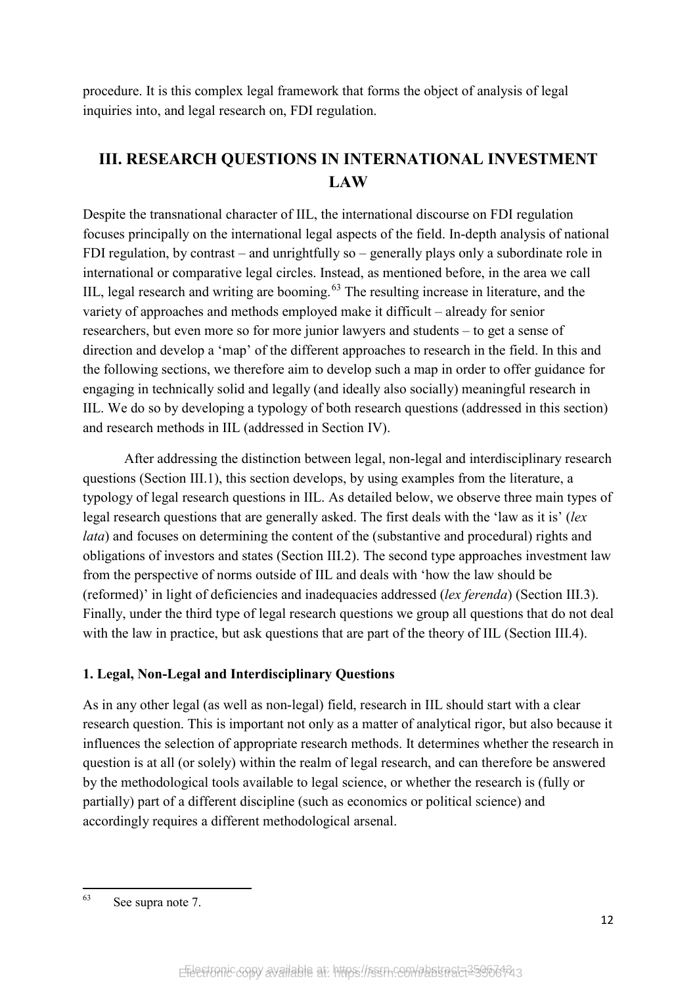procedure. It is this complex legal framework that forms the object of analysis of legal inquiries into, and legal research on, FDI regulation.

# **III. RESEARCH QUESTIONS IN INTERNATIONAL INVESTMENT LAW**

Despite the transnational character of IIL, the international discourse on FDI regulation focuses principally on the international legal aspects of the field. In-depth analysis of national FDI regulation, by contrast – and unrightfully so – generally plays only a subordinate role in international or comparative legal circles. Instead, as mentioned before, in the area we call IIL, legal research and writing are booming.<sup>[63](#page-13-0)</sup> The resulting increase in literature, and the variety of approaches and methods employed make it difficult – already for senior researchers, but even more so for more junior lawyers and students – to get a sense of direction and develop a 'map' of the different approaches to research in the field. In this and the following sections, we therefore aim to develop such a map in order to offer guidance for engaging in technically solid and legally (and ideally also socially) meaningful research in IIL. We do so by developing a typology of both research questions (addressed in this section) and research methods in IIL (addressed in Section IV).

After addressing the distinction between legal, non-legal and interdisciplinary research questions (Section III.1), this section develops, by using examples from the literature, a typology of legal research questions in IIL. As detailed below, we observe three main types of legal research questions that are generally asked. The first deals with the 'law as it is' (*lex lata*) and focuses on determining the content of the (substantive and procedural) rights and obligations of investors and states (Section III.2). The second type approaches investment law from the perspective of norms outside of IIL and deals with 'how the law should be (reformed)' in light of deficiencies and inadequacies addressed (*lex ferenda*) (Section III.3). Finally, under the third type of legal research questions we group all questions that do not deal with the law in practice, but ask questions that are part of the theory of IIL (Section III.4).

#### **1. Legal, Non-Legal and Interdisciplinary Questions**

As in any other legal (as well as non-legal) field, research in IIL should start with a clear research question. This is important not only as a matter of analytical rigor, but also because it influences the selection of appropriate research methods. It determines whether the research in question is at all (or solely) within the realm of legal research, and can therefore be answered by the methodological tools available to legal science, or whether the research is (fully or partially) part of a different discipline (such as economics or political science) and accordingly requires a different methodological arsenal.

<span id="page-13-0"></span><sup>63</sup> See supra note 7.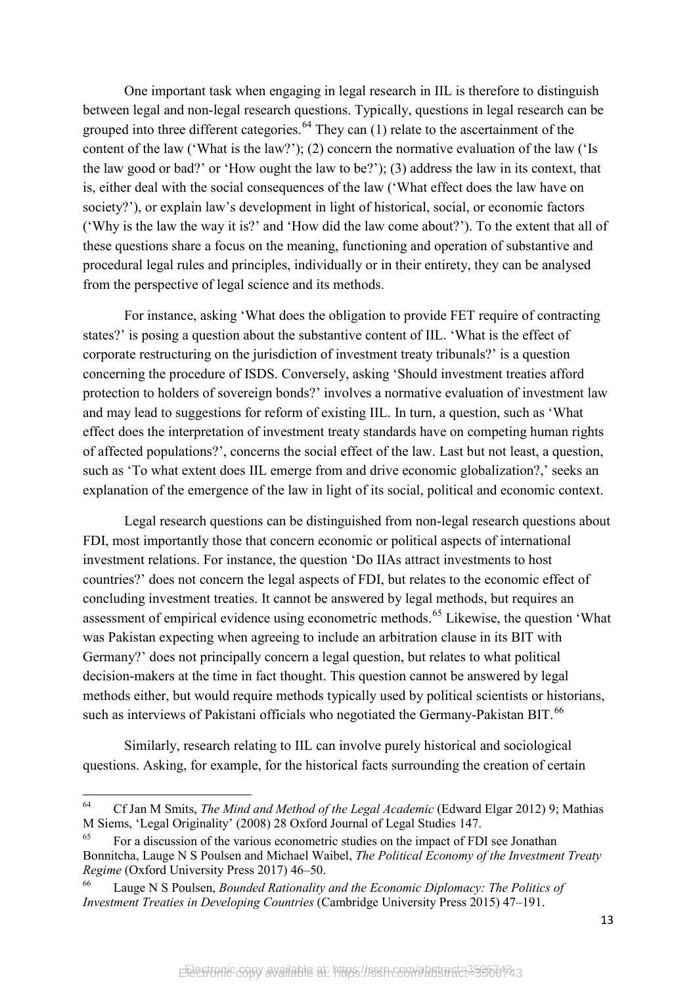One important task when engaging in legal research in IIL is therefore to distinguish between legal and non-legal research questions. Typically, questions in legal research can be grouped into three different categories.<sup>[64](#page-14-0)</sup> They can  $(1)$  relate to the ascertainment of the content of the law ('What is the law?'); (2) concern the normative evaluation of the law ('Is the law good or bad?' or 'How ought the law to be?'); (3) address the law in its context, that is, either deal with the social consequences of the law ('What effect does the law have on society?'), or explain law's development in light of historical, social, or economic factors ('Why is the law the way it is?' and 'How did the law come about?'). To the extent that all of these questions share a focus on the meaning, functioning and operation of substantive and procedural legal rules and principles, individually or in their entirety, they can be analysed from the perspective of legal science and its methods.

For instance, asking 'What does the obligation to provide FET require of contracting states?' is posing a question about the substantive content of IIL. 'What is the effect of corporate restructuring on the jurisdiction of investment treaty tribunals?' is a question concerning the procedure of ISDS. Conversely, asking 'Should investment treaties afford protection to holders of sovereign bonds?' involves a normative evaluation of investment law and may lead to suggestions for reform of existing IIL. In turn, a question, such as 'What effect does the interpretation of investment treaty standards have on competing human rights of affected populations?', concerns the social effect of the law. Last but not least, a question, such as 'To what extent does IIL emerge from and drive economic globalization?,' seeks an explanation of the emergence of the law in light of its social, political and economic context.

Legal research questions can be distinguished from non-legal research questions about FDI, most importantly those that concern economic or political aspects of international investment relations. For instance, the question 'Do IIAs attract investments to host countries?' does not concern the legal aspects of FDI, but relates to the economic effect of concluding investment treaties. It cannot be answered by legal methods, but requires an assessment of empirical evidence using econometric methods.<sup>[65](#page-14-1)</sup> Likewise, the question 'What was Pakistan expecting when agreeing to include an arbitration clause in its BIT with Germany?' does not principally concern a legal question, but relates to what political decision-makers at the time in fact thought. This question cannot be answered by legal methods either, but would require methods typically used by political scientists or historians, such as interviews of Pakistani officials who negotiated the Germany-Pakistan BIT.<sup>[66](#page-14-2)</sup>

Similarly, research relating to IIL can involve purely historical and sociological questions. Asking, for example, for the historical facts surrounding the creation of certain

<span id="page-14-0"></span><sup>64</sup> <sup>64</sup> Cf Jan M Smits, *The Mind and Method of the Legal Academic* (Edward Elgar 2012) 9; Mathias M Siems, 'Legal Originality' (2008) 28 Oxford Journal of Legal Studies 147.

<span id="page-14-1"></span>For a discussion of the various econometric studies on the impact of FDI see Jonathan Bonnitcha, Lauge N S Poulsen and Michael Waibel, *The Political Economy of the Investment Treaty Regime* (Oxford University Press 2017) 46–50.

<span id="page-14-2"></span><sup>66</sup> Lauge N S Poulsen, *Bounded Rationality and the Economic Diplomacy: The Politics of Investment Treaties in Developing Countries* (Cambridge University Press 2015) 47–191.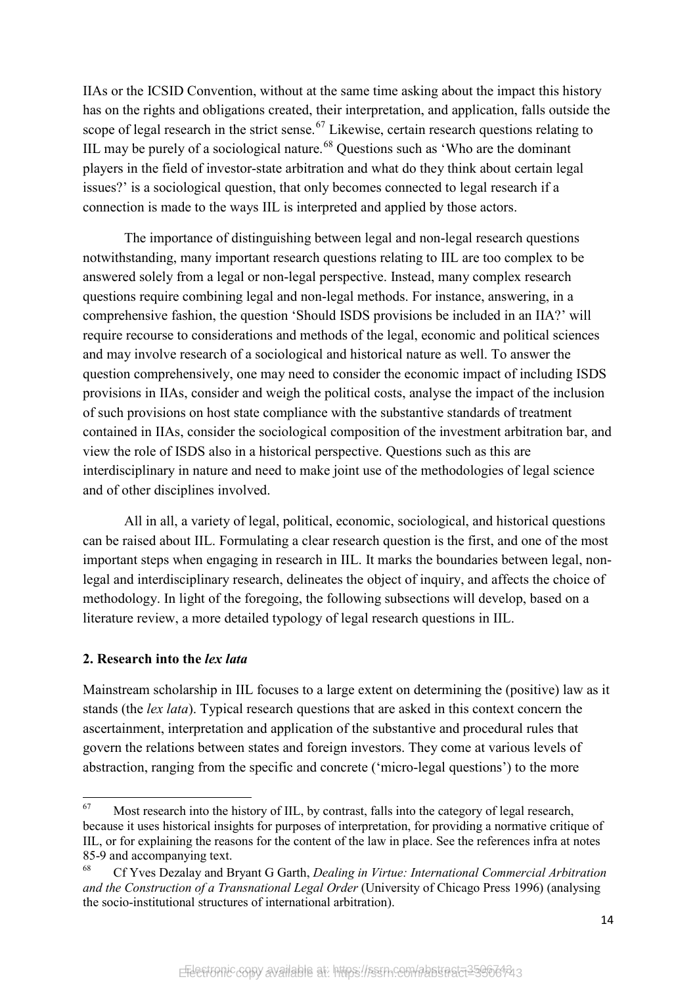IIAs or the ICSID Convention, without at the same time asking about the impact this history has on the rights and obligations created, their interpretation, and application, falls outside the scope of legal research in the strict sense.<sup>[67](#page-15-0)</sup> Likewise, certain research questions relating to IIL may be purely of a sociological nature.<sup>[68](#page-15-1)</sup> Questions such as 'Who are the dominant players in the field of investor-state arbitration and what do they think about certain legal issues?' is a sociological question, that only becomes connected to legal research if a connection is made to the ways IIL is interpreted and applied by those actors.

The importance of distinguishing between legal and non-legal research questions notwithstanding, many important research questions relating to IIL are too complex to be answered solely from a legal or non-legal perspective. Instead, many complex research questions require combining legal and non-legal methods. For instance, answering, in a comprehensive fashion, the question 'Should ISDS provisions be included in an IIA?' will require recourse to considerations and methods of the legal, economic and political sciences and may involve research of a sociological and historical nature as well. To answer the question comprehensively, one may need to consider the economic impact of including ISDS provisions in IIAs, consider and weigh the political costs, analyse the impact of the inclusion of such provisions on host state compliance with the substantive standards of treatment contained in IIAs, consider the sociological composition of the investment arbitration bar, and view the role of ISDS also in a historical perspective. Questions such as this are interdisciplinary in nature and need to make joint use of the methodologies of legal science and of other disciplines involved.

All in all, a variety of legal, political, economic, sociological, and historical questions can be raised about IIL. Formulating a clear research question is the first, and one of the most important steps when engaging in research in IIL. It marks the boundaries between legal, nonlegal and interdisciplinary research, delineates the object of inquiry, and affects the choice of methodology. In light of the foregoing, the following subsections will develop, based on a literature review, a more detailed typology of legal research questions in IIL.

#### **2. Research into the** *lex lata*

Mainstream scholarship in IIL focuses to a large extent on determining the (positive) law as it stands (the *lex lata*). Typical research questions that are asked in this context concern the ascertainment, interpretation and application of the substantive and procedural rules that govern the relations between states and foreign investors. They come at various levels of abstraction, ranging from the specific and concrete ('micro-legal questions') to the more

<span id="page-15-0"></span><sup>67</sup> Most research into the history of IIL, by contrast, falls into the category of legal research, because it uses historical insights for purposes of interpretation, for providing a normative critique of IIL, or for explaining the reasons for the content of the law in place. See the references infra at notes 85-9 and accompanying text.

<span id="page-15-1"></span><sup>68</sup> Cf Yves Dezalay and Bryant G Garth, *Dealing in Virtue: International Commercial Arbitration and the Construction of a Transnational Legal Order* (University of Chicago Press 1996) (analysing the socio-institutional structures of international arbitration).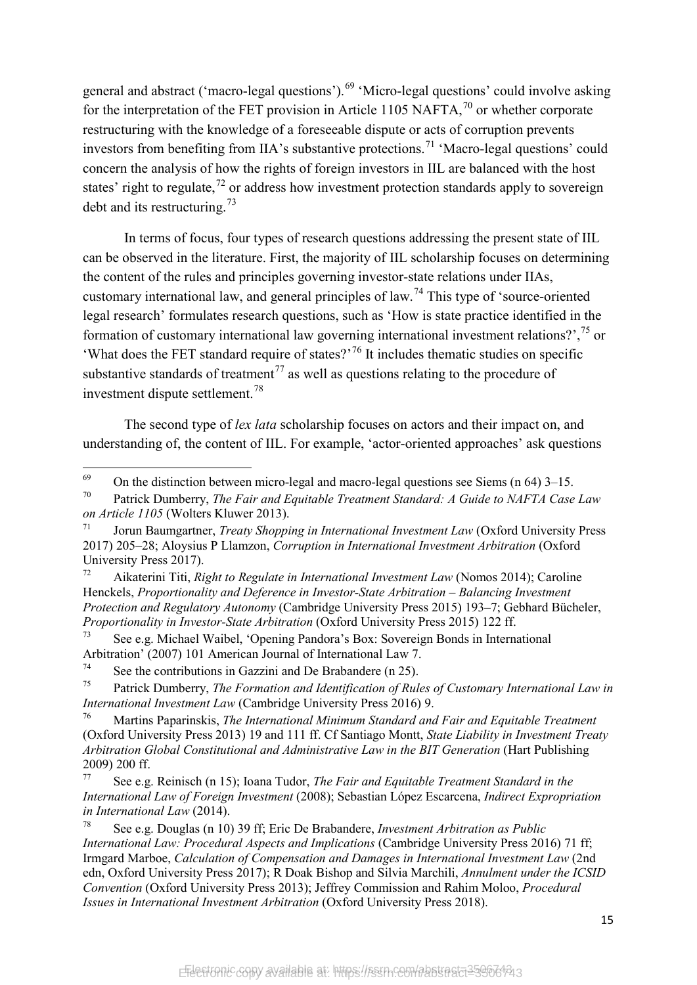general and abstract ('macro-legal questions').<sup>[69](#page-16-0)</sup> 'Micro-legal questions' could involve asking for the interpretation of the FET provision in Article 1105 NAFTA,  $^{70}$  $^{70}$  $^{70}$  or whether corporate restructuring with the knowledge of a foreseeable dispute or acts of corruption prevents investors from benefiting from IIA's substantive protections.<sup>[71](#page-16-2)</sup> 'Macro-legal questions' could concern the analysis of how the rights of foreign investors in IIL are balanced with the host states' right to regulate, $^{72}$  $^{72}$  $^{72}$  or address how investment protection standards apply to sovereign debt and its restructuring.<sup>[73](#page-16-4)</sup>

In terms of focus, four types of research questions addressing the present state of IIL can be observed in the literature. First, the majority of IIL scholarship focuses on determining the content of the rules and principles governing investor-state relations under IIAs, customary international law, and general principles of law.[74](#page-16-5) This type of 'source-oriented legal research' formulates research questions, such as 'How is state practice identified in the formation of customary international law governing international investment relations?', $^{75}$  $^{75}$  $^{75}$  or 'What does the FET standard require of states?<sup>[76](#page-16-7)</sup> It includes thematic studies on specific substantive standards of treatment<sup> $77$ </sup> as well as questions relating to the procedure of investment dispute settlement.[78](#page-16-9)

The second type of *lex lata* scholarship focuses on actors and their impact on, and understanding of, the content of IIL. For example, 'actor-oriented approaches' ask questions

<span id="page-16-0"></span><sup>69</sup> <sup>69</sup> On the distinction between micro-legal and macro-legal questions see Siems (n 64) 3–15.<br><sup>70</sup> Detrick Dumbergy, *The Esin and Equitable Tuestment Standard: A Cuide to MAETA Case* 

<span id="page-16-1"></span>Patrick Dumberry, *The Fair and Equitable Treatment Standard: A Guide to NAFTA Case Law on Article 1105* (Wolters Kluwer 2013).

<span id="page-16-2"></span><sup>71</sup> Jorun Baumgartner, *Treaty Shopping in International Investment Law* (Oxford University Press 2017) 205–28; Aloysius P Llamzon, *Corruption in International Investment Arbitration* (Oxford University Press 2017).

<span id="page-16-3"></span><sup>72</sup> Aikaterini Titi, *Right to Regulate in International Investment Law* (Nomos 2014); Caroline Henckels, *Proportionality and Deference in Investor-State Arbitration – Balancing Investment Protection and Regulatory Autonomy* (Cambridge University Press 2015) 193–7; Gebhard Bücheler, *Proportionality in Investor-State Arbitration* (Oxford University Press 2015) 122 ff.

<span id="page-16-4"></span><sup>73</sup> See e.g. Michael Waibel, 'Opening Pandora's Box: Sovereign Bonds in International Arbitration' (2007) 101 American Journal of International Law 7.

<span id="page-16-5"></span><sup>&</sup>lt;sup>74</sup> See the contributions in Gazzini and De Brabandere (n 25).

<span id="page-16-6"></span><sup>75</sup> Patrick Dumberry, *The Formation and Identification of Rules of Customary International Law in International Investment Law* (Cambridge University Press 2016) 9.

<span id="page-16-7"></span><sup>76</sup> Martins Paparinskis, *The International Minimum Standard and Fair and Equitable Treatment*  (Oxford University Press 2013) 19 and 111 ff. Cf Santiago Montt, *State Liability in Investment Treaty Arbitration Global Constitutional and Administrative Law in the BIT Generation* (Hart Publishing 2009) 200 ff.

<span id="page-16-8"></span><sup>77</sup> See e.g. Reinisch (n 15); Ioana Tudor, *The Fair and Equitable Treatment Standard in the International Law of Foreign Investment* (2008); Sebastian López Escarcena, *Indirect Expropriation in International Law* (2014).

<span id="page-16-9"></span><sup>78</sup> See e.g. Douglas (n 10) 39 ff; Eric De Brabandere, *Investment Arbitration as Public International Law: Procedural Aspects and Implications* (Cambridge University Press 2016) 71 ff; Irmgard Marboe, *Calculation of Compensation and Damages in International Investment Law* (2nd edn, Oxford University Press 2017); R Doak Bishop and Silvia Marchili, *Annulment under the ICSID Convention* (Oxford University Press 2013); Jeffrey Commission and Rahim Moloo, *Procedural Issues in International Investment Arbitration* (Oxford University Press 2018).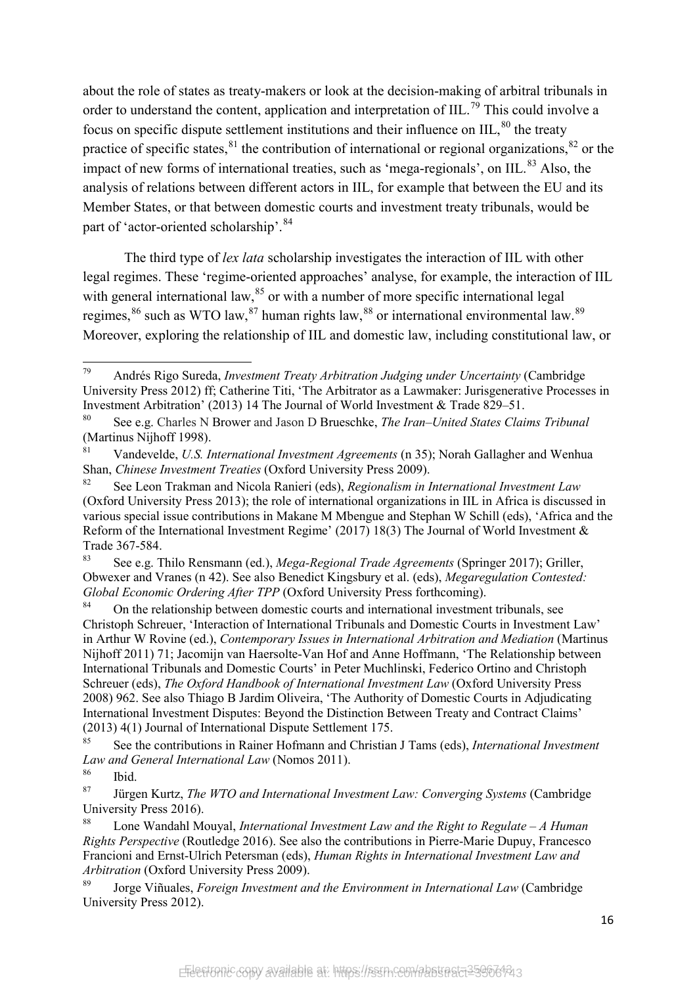about the role of states as treaty-makers or look at the decision-making of arbitral tribunals in order to understand the content, application and interpretation of IIL.<sup>[79](#page-17-0)</sup> This could involve a focus on specific dispute settlement institutions and their influence on IIL, $80$  the treaty practice of specific states,  $81$  the contribution of international or regional organizations,  $82$  or the impact of new forms of international treaties, such as 'mega-regionals', on IIL.<sup>[83](#page-17-4)</sup> Also, the analysis of relations between different actors in IIL, for example that between the EU and its Member States, or that between domestic courts and investment treaty tribunals, would be part of 'actor-oriented scholarship'.<sup>[84](#page-17-5)</sup>

<span id="page-17-11"></span>The third type of *lex lata* scholarship investigates the interaction of IIL with other legal regimes. These 'regime-oriented approaches' analyse, for example, the interaction of IIL with general international law,  $85$  or with a number of more specific international legal regimes,  $86$  such as WTO law,  $87$  human rights law,  $88$  or international environmental law.  $89$ Moreover, exploring the relationship of IIL and domestic law, including constitutional law, or

<span id="page-17-0"></span><sup>79</sup> Andrés Rigo Sureda, *Investment Treaty Arbitration Judging under Uncertainty* (Cambridge University Press 2012) ff; Catherine Titi, 'The Arbitrator as a Lawmaker: Jurisgenerative Processes in Investment Arbitration' (2013) 14 The Journal of World Investment & Trade 829–51.

<span id="page-17-1"></span>See e.g. Charles N Brower and Jason D Brueschke, *The Iran–United States Claims Tribunal* (Martinus Nijhoff 1998).

<span id="page-17-2"></span><sup>81</sup> Vandevelde, *U.S. International Investment Agreements* (n 35); Norah Gallagher and Wenhua Shan, *Chinese Investment Treaties* (Oxford University Press 2009).

<span id="page-17-3"></span><sup>82</sup> See Leon Trakman and Nicola Ranieri (eds), *Regionalism in International Investment Law* (Oxford University Press 2013); the role of international organizations in IIL in Africa is discussed in various special issue contributions in Makane M Mbengue and Stephan W Schill (eds), 'Africa and the Reform of the International Investment Regime' (2017) 18(3) The Journal of World Investment & Trade 367-584.

<span id="page-17-4"></span><sup>83</sup> See e.g. Thilo Rensmann (ed.), *Mega-Regional Trade Agreements* (Springer 2017); Griller, Obwexer and Vranes (n 42). See also Benedict Kingsbury et al. (eds), *Megaregulation Contested: Global Economic Ordering After TPP* (Oxford University Press forthcoming).

<span id="page-17-5"></span><sup>&</sup>lt;sup>84</sup> On the relationship between domestic courts and international investment tribunals, see Christoph Schreuer, 'Interaction of International Tribunals and Domestic Courts in Investment Law' in Arthur W Rovine (ed.), *Contemporary Issues in International Arbitration and Mediation* (Martinus Nijhoff 2011) 71; Jacomijn van Haersolte-Van Hof and Anne Hoffmann, 'The Relationship between International Tribunals and Domestic Courts' in Peter Muchlinski, Federico Ortino and Christoph Schreuer (eds), *The Oxford Handbook of International Investment Law* (Oxford University Press 2008) 962. See also Thiago B Jardim Oliveira, 'The Authority of Domestic Courts in Adjudicating International Investment Disputes: Beyond the Distinction Between Treaty and Contract Claims' (2013) 4(1) Journal of International Dispute Settlement 175.

<span id="page-17-6"></span><sup>85</sup> See the contributions in Rainer Hofmann and Christian J Tams (eds), *International Investment Law and General International Law* (Nomos 2011).

Ibid.

<span id="page-17-8"></span><span id="page-17-7"></span><sup>87</sup> Jürgen Kurtz, *The WTO and International Investment Law: Converging Systems* (Cambridge University Press 2016).

<span id="page-17-9"></span><sup>88</sup> Lone Wandahl Mouyal, *International Investment Law and the Right to Regulate – A Human Rights Perspective* (Routledge 2016). See also the contributions in Pierre-Marie Dupuy, Francesco Francioni and Ernst-Ulrich Petersman (eds), *Human Rights in International Investment Law and Arbitration* (Oxford University Press 2009).

<span id="page-17-10"></span><sup>89</sup> Jorge Viñuales, *Foreign Investment and the Environment in International Law* (Cambridge University Press 2012).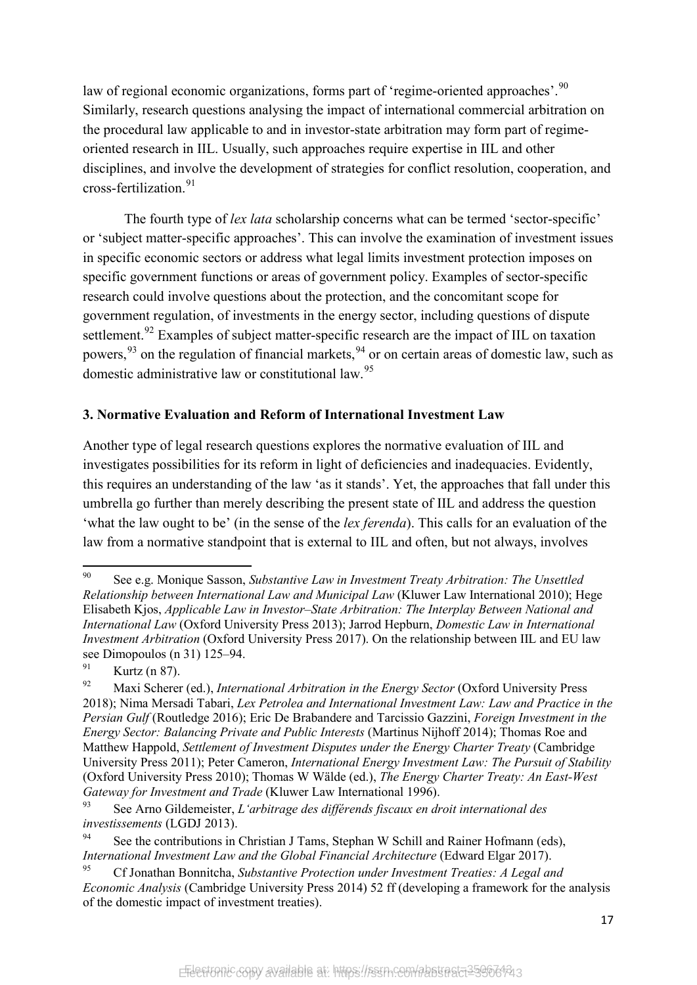law of regional economic organizations, forms part of 'regime-oriented approaches'.<sup>[90](#page-18-0)</sup> Similarly, research questions analysing the impact of international commercial arbitration on the procedural law applicable to and in investor-state arbitration may form part of regimeoriented research in IIL. Usually, such approaches require expertise in IIL and other disciplines, and involve the development of strategies for conflict resolution, cooperation, and cross-fertilization.[91](#page-18-1)

The fourth type of *lex lata* scholarship concerns what can be termed 'sector-specific' or 'subject matter-specific approaches'. This can involve the examination of investment issues in specific economic sectors or address what legal limits investment protection imposes on specific government functions or areas of government policy. Examples of sector-specific research could involve questions about the protection, and the concomitant scope for government regulation, of investments in the energy sector, including questions of dispute settlement.<sup>[92](#page-18-2)</sup> Examples of subject matter-specific research are the impact of IIL on taxation powers,  $93$  on the regulation of financial markets,  $94$  or on certain areas of domestic law, such as domestic administrative law or constitutional law.[95](#page-18-5)

### **3. Normative Evaluation and Reform of International Investment Law**

Another type of legal research questions explores the normative evaluation of IIL and investigates possibilities for its reform in light of deficiencies and inadequacies. Evidently, this requires an understanding of the law 'as it stands'. Yet, the approaches that fall under this umbrella go further than merely describing the present state of IIL and address the question 'what the law ought to be' (in the sense of the *lex ferenda*). This calls for an evaluation of the law from a normative standpoint that is external to IIL and often, but not always, involves

<span id="page-18-0"></span><sup>90</sup> <sup>90</sup> See e.g. Monique Sasson, *Substantive Law in Investment Treaty Arbitration: The Unsettled Relationship between International Law and Municipal Law* (Kluwer Law International 2010); Hege Elisabeth Kjos, *Applicable Law in Investor–State Arbitration: The Interplay Between National and International Law* (Oxford University Press 2013); Jarrod Hepburn, *Domestic Law in International Investment Arbitration* (Oxford University Press 2017). On the relationship between IIL and EU law see Dimopoulos (n 31) 125–94.

<span id="page-18-1"></span><sup>&</sup>lt;sup>91</sup> Kurtz (n 87).

<span id="page-18-2"></span><sup>92</sup> Maxi Scherer (ed.), *International Arbitration in the Energy Sector* (Oxford University Press 2018); Nima Mersadi Tabari, *Lex Petrolea and International Investment Law: Law and Practice in the Persian Gulf* (Routledge 2016); Eric De Brabandere and Tarcissio Gazzini, *Foreign Investment in the Energy Sector: Balancing Private and Public Interests* (Martinus Nijhoff 2014); Thomas Roe and Matthew Happold, *Settlement of Investment Disputes under the Energy Charter Treaty* (Cambridge University Press 2011); Peter Cameron, *International Energy Investment Law: The Pursuit of Stability* (Oxford University Press 2010); Thomas W Wälde (ed.), *The Energy Charter Treaty: An East-West Gateway for Investment and Trade* (Kluwer Law International 1996).

<span id="page-18-3"></span><sup>93</sup> See Arno Gildemeister, *L'arbitrage des différends fiscaux en droit international des investissements* (LGDJ 2013).

<span id="page-18-4"></span><sup>&</sup>lt;sup>94</sup> See the contributions in Christian J Tams, Stephan W Schill and Rainer Hofmann (eds), *International Investment Law and the Global Financial Architecture* (Edward Elgar 2017).

<span id="page-18-5"></span><sup>95</sup> Cf Jonathan Bonnitcha, *Substantive Protection under Investment Treaties: A Legal and Economic Analysis* (Cambridge University Press 2014) 52 ff (developing a framework for the analysis of the domestic impact of investment treaties).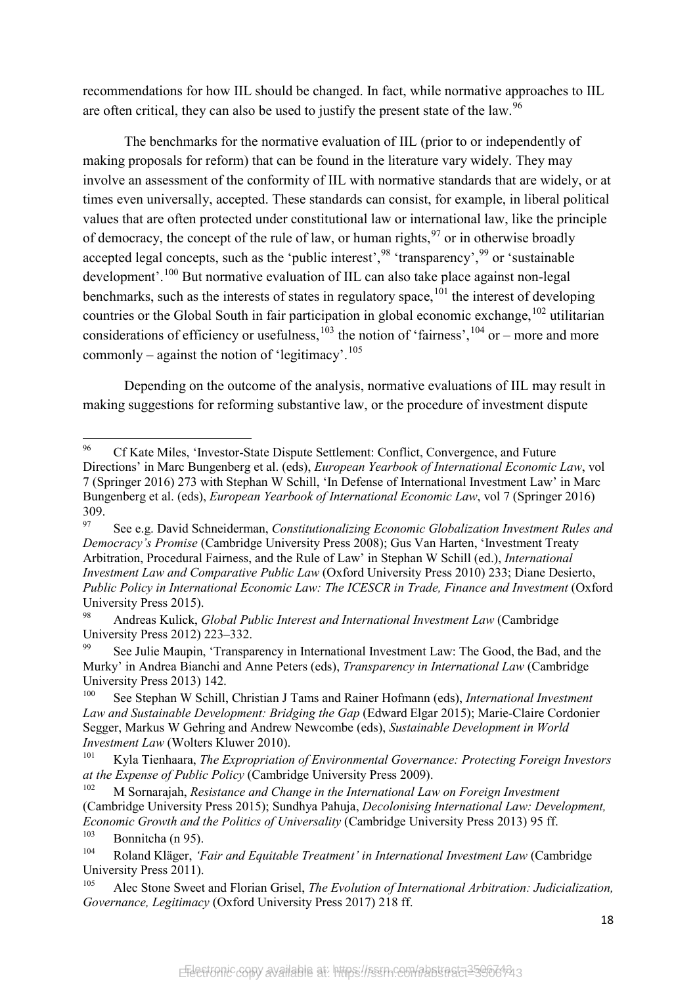recommendations for how IIL should be changed. In fact, while normative approaches to IIL are often critical, they can also be used to justify the present state of the law.<sup>[96](#page-19-0)</sup>

The benchmarks for the normative evaluation of IIL (prior to or independently of making proposals for reform) that can be found in the literature vary widely. They may involve an assessment of the conformity of IIL with normative standards that are widely, or at times even universally, accepted. These standards can consist, for example, in liberal political values that are often protected under constitutional law or international law, like the principle of democracy, the concept of the rule of law, or human rights,  $97$  or in otherwise broadly accepted legal concepts, such as the 'public interest',<sup>[98](#page-19-2)</sup> 'transparency',<sup>[99](#page-19-3)</sup> or 'sustainable' development'.[100](#page-19-4) But normative evaluation of IIL can also take place against non-legal benchmarks, such as the interests of states in regulatory space,  $101$  the interest of developing countries or the Global South in fair participation in global economic exchange,  $^{102}$  $^{102}$  $^{102}$  utilitarian considerations of efficiency or usefulness,  $^{103}$  $^{103}$  $^{103}$  the notion of 'fairness',  $^{104}$  $^{104}$  $^{104}$  or – more and more commonly – against the notion of 'legitimacy'.<sup>[105](#page-19-9)</sup>

<span id="page-19-10"></span>Depending on the outcome of the analysis, normative evaluations of IIL may result in making suggestions for reforming substantive law, or the procedure of investment dispute

<span id="page-19-0"></span><sup>96</sup> <sup>96</sup> Cf Kate Miles, 'Investor-State Dispute Settlement: Conflict, Convergence, and Future Directions' in Marc Bungenberg et al. (eds), *European Yearbook of International Economic Law*, vol 7 (Springer 2016) 273 with Stephan W Schill, 'In Defense of International Investment Law' in Marc Bungenberg et al. (eds), *European Yearbook of International Economic Law*, vol 7 (Springer 2016) 309.

<span id="page-19-1"></span><sup>97</sup> See e.g. David Schneiderman, *Constitutionalizing Economic Globalization Investment Rules and Democracy's Promise* (Cambridge University Press 2008); Gus Van Harten, 'Investment Treaty Arbitration, Procedural Fairness, and the Rule of Law' in Stephan W Schill (ed.), *International Investment Law and Comparative Public Law* (Oxford University Press 2010) 233; Diane Desierto, *Public Policy in International Economic Law: The ICESCR in Trade, Finance and Investment* (Oxford University Press 2015).

<span id="page-19-2"></span><sup>98</sup> Andreas Kulick, *Global Public Interest and International Investment Law* (Cambridge University Press 2012) 223–332.

<span id="page-19-3"></span><sup>&</sup>lt;sup>99</sup> See Julie Maupin, 'Transparency in International Investment Law: The Good, the Bad, and the Murky' in Andrea Bianchi and Anne Peters (eds), *Transparency in International Law* (Cambridge University Press 2013) 142.

<span id="page-19-4"></span><sup>100</sup> See Stephan W Schill, Christian J Tams and Rainer Hofmann (eds), *International Investment Law and Sustainable Development: Bridging the Gap* (Edward Elgar 2015); Marie-Claire Cordonier Segger, Markus W Gehring and Andrew Newcombe (eds), *Sustainable Development in World Investment Law* (Wolters Kluwer 2010).

<span id="page-19-5"></span><sup>101</sup> Kyla Tienhaara, *The Expropriation of Environmental Governance: Protecting Foreign Investors at the Expense of Public Policy* (Cambridge University Press 2009).

<span id="page-19-6"></span><sup>102</sup> M Sornarajah, *Resistance and Change in the International Law on Foreign Investment* (Cambridge University Press 2015); Sundhya Pahuja, *Decolonising International Law: Development, Economic Growth and the Politics of Universality* (Cambridge University Press 2013) 95 ff.

<span id="page-19-7"></span><sup>&</sup>lt;sup>103</sup> Bonnitcha (n 95).<br><sup>104</sup> Poland Kläger. '<sup>1</sup>

<span id="page-19-8"></span><sup>104</sup> Roland Kläger, *'Fair and Equitable Treatment' in International Investment Law* (Cambridge University Press 2011).

<span id="page-19-9"></span><sup>105</sup> Alec Stone Sweet and Florian Grisel, *The Evolution of International Arbitration: Judicialization, Governance, Legitimacy* (Oxford University Press 2017) 218 ff.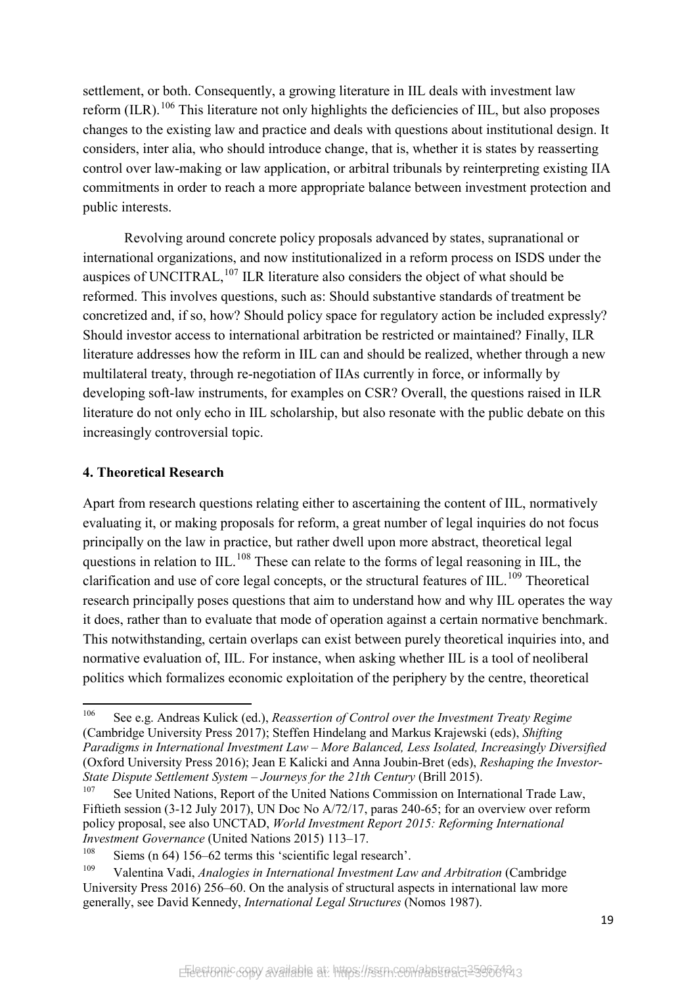settlement, or both. Consequently, a growing literature in IIL deals with investment law reform (ILR).<sup>[106](#page-20-0)</sup> This literature not only highlights the deficiencies of IIL, but also proposes changes to the existing law and practice and deals with questions about institutional design. It considers, inter alia, who should introduce change, that is, whether it is states by reasserting control over law-making or law application, or arbitral tribunals by reinterpreting existing IIA commitments in order to reach a more appropriate balance between investment protection and public interests.

Revolving around concrete policy proposals advanced by states, supranational or international organizations, and now institutionalized in a reform process on ISDS under the auspices of UNCITRAL,  $^{107}$  $^{107}$  $^{107}$  ILR literature also considers the object of what should be reformed. This involves questions, such as: Should substantive standards of treatment be concretized and, if so, how? Should policy space for regulatory action be included expressly? Should investor access to international arbitration be restricted or maintained? Finally, ILR literature addresses how the reform in IIL can and should be realized, whether through a new multilateral treaty, through re-negotiation of IIAs currently in force, or informally by developing soft-law instruments, for examples on CSR? Overall, the questions raised in ILR literature do not only echo in IIL scholarship, but also resonate with the public debate on this increasingly controversial topic.

#### **4. Theoretical Research**

Apart from research questions relating either to ascertaining the content of IIL, normatively evaluating it, or making proposals for reform, a great number of legal inquiries do not focus principally on the law in practice, but rather dwell upon more abstract, theoretical legal questions in relation to IIL.<sup>[108](#page-20-2)</sup> These can relate to the forms of legal reasoning in IIL, the clarification and use of core legal concepts, or the structural features of IIL.<sup>[109](#page-20-3)</sup> Theoretical research principally poses questions that aim to understand how and why IIL operates the way it does, rather than to evaluate that mode of operation against a certain normative benchmark. This notwithstanding, certain overlaps can exist between purely theoretical inquiries into, and normative evaluation of, IIL. For instance, when asking whether IIL is a tool of neoliberal politics which formalizes economic exploitation of the periphery by the centre, theoretical

<span id="page-20-0"></span><sup>106</sup> <sup>106</sup> See e.g. Andreas Kulick (ed.), *Reassertion of Control over the Investment Treaty Regime* (Cambridge University Press 2017); Steffen Hindelang and Markus Krajewski (eds), *Shifting Paradigms in International Investment Law – More Balanced, Less Isolated, Increasingly Diversified* (Oxford University Press 2016); Jean E Kalicki and Anna Joubin-Bret (eds), *Reshaping the Investor-State Dispute Settlement System – Journeys for the 21th Century* (Brill 2015).

<span id="page-20-1"></span><sup>&</sup>lt;sup>107</sup> See United Nations, Report of the United Nations Commission on International Trade Law, Fiftieth session (3-12 July 2017), UN Doc No A/72/17, paras 240-65; for an overview over reform policy proposal, see also UNCTAD, *World Investment Report 2015: Reforming International Investment Governance* (United Nations 2015) 113–17.<br><sup>108</sup> Siems (p. 64) 156, 62 terms this *Socientific* legal ra

<sup>&</sup>lt;sup>108</sup> Siems (n 64) 156–62 terms this 'scientific legal research'.

<span id="page-20-3"></span><span id="page-20-2"></span><sup>109</sup> Valentina Vadi, *Analogies in International Investment Law and Arbitration* (Cambridge University Press 2016) 256–60. On the analysis of structural aspects in international law more generally, see David Kennedy, *International Legal Structures* (Nomos 1987).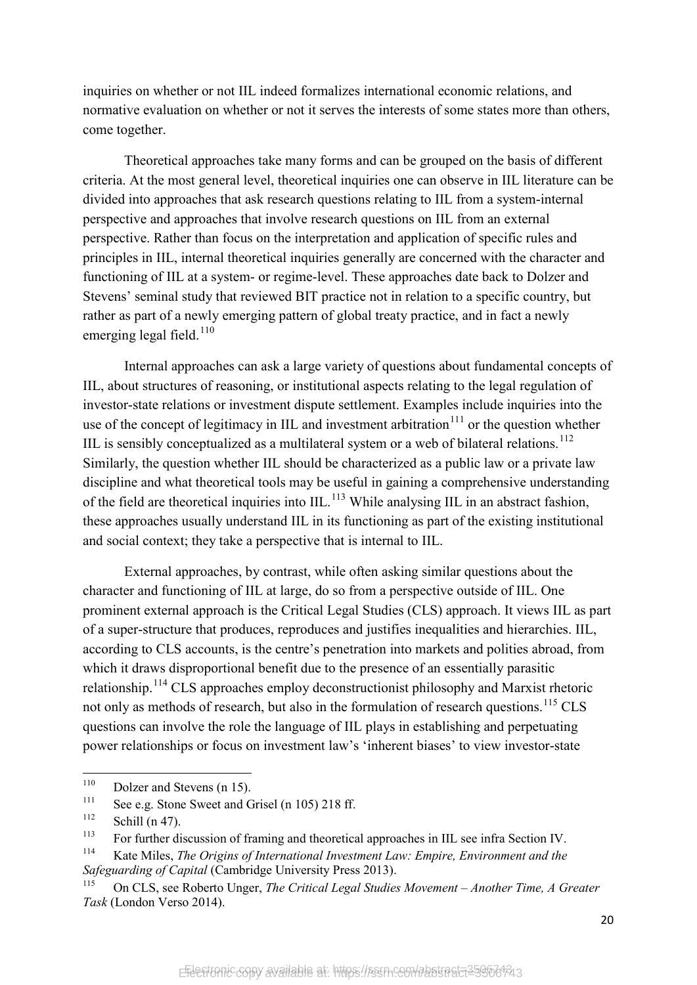inquiries on whether or not IIL indeed formalizes international economic relations, and normative evaluation on whether or not it serves the interests of some states more than others, come together.

Theoretical approaches take many forms and can be grouped on the basis of different criteria. At the most general level, theoretical inquiries one can observe in IIL literature can be divided into approaches that ask research questions relating to IIL from a system-internal perspective and approaches that involve research questions on IIL from an external perspective. Rather than focus on the interpretation and application of specific rules and principles in IIL, internal theoretical inquiries generally are concerned with the character and functioning of IIL at a system- or regime-level. These approaches date back to Dolzer and Stevens' seminal study that reviewed BIT practice not in relation to a specific country, but rather as part of a newly emerging pattern of global treaty practice, and in fact a newly emerging legal field.<sup>[110](#page-21-0)</sup>

Internal approaches can ask a large variety of questions about fundamental concepts of IIL, about structures of reasoning, or institutional aspects relating to the legal regulation of investor-state relations or investment dispute settlement. Examples include inquiries into the use of the concept of legitimacy in IIL and investment arbitration $111$  or the question whether IIL is sensibly conceptualized as a multilateral system or a web of bilateral relations.<sup>[112](#page-21-2)</sup> Similarly, the question whether IIL should be characterized as a public law or a private law discipline and what theoretical tools may be useful in gaining a comprehensive understanding of the field are theoretical inquiries into  $III<sub>113</sub>$  $III<sub>113</sub>$  $III<sub>113</sub>$ . While analysing IIL in an abstract fashion, these approaches usually understand IIL in its functioning as part of the existing institutional and social context; they take a perspective that is internal to IIL.

External approaches, by contrast, while often asking similar questions about the character and functioning of IIL at large, do so from a perspective outside of IIL. One prominent external approach is the Critical Legal Studies (CLS) approach. It views IIL as part of a super-structure that produces, reproduces and justifies inequalities and hierarchies. IIL, according to CLS accounts, is the centre's penetration into markets and polities abroad, from which it draws disproportional benefit due to the presence of an essentially parasitic relationship.[114](#page-21-4) CLS approaches employ deconstructionist philosophy and Marxist rhetoric not only as methods of research, but also in the formulation of research questions.<sup>[115](#page-21-5)</sup> CLS questions can involve the role the language of IIL plays in establishing and perpetuating power relationships or focus on investment law's 'inherent biases' to view investor-state

<span id="page-21-0"></span> $110\,$ <sup>110</sup> Dolzer and Stevens (n 15).

<span id="page-21-1"></span><sup>&</sup>lt;sup>111</sup> See e.g. Stone Sweet and Grisel (n 105) 218 ff.<br><sup>112</sup> S<sub>r</sub>1;<sup>11</sup> (n 47)

<span id="page-21-2"></span>Schill (n  $47$ ).

<span id="page-21-3"></span><sup>&</sup>lt;sup>113</sup> For further discussion of framing and theoretical approaches in IIL see infra Section IV.<br><sup>114</sup> Kote Miles. The Origins of International Investment Law: Empire, Empirement and the

<span id="page-21-4"></span><sup>114</sup> Kate Miles, *The Origins of International Investment Law: Empire, Environment and the Safeguarding of Capital* (Cambridge University Press 2013).

<span id="page-21-5"></span><sup>115</sup> On CLS, see Roberto Unger, *The Critical Legal Studies Movement – Another Time, A Greater Task* (London Verso 2014).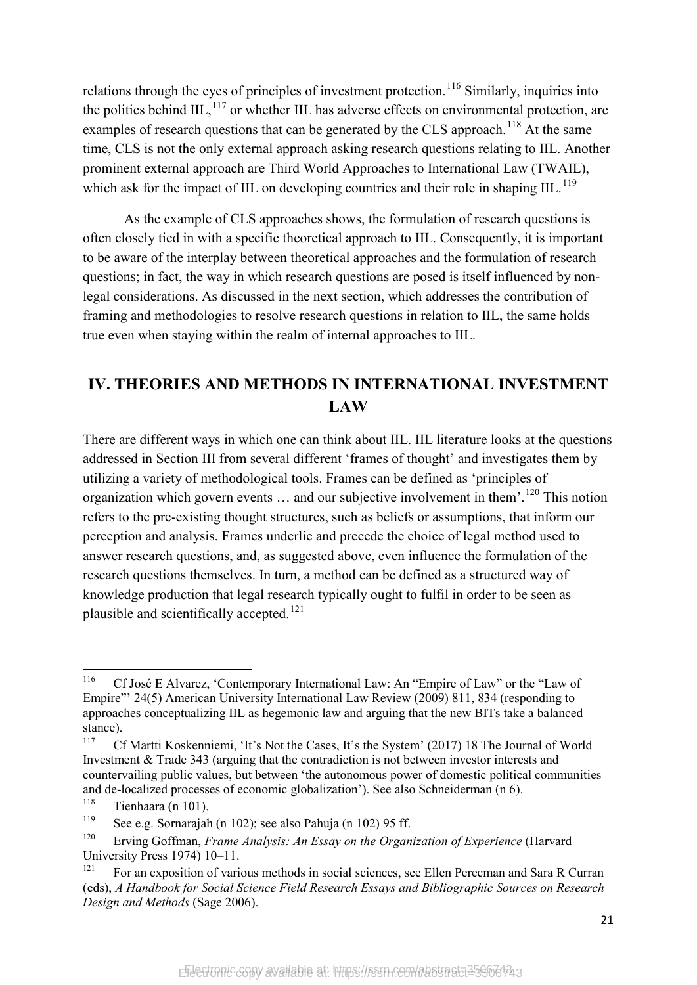relations through the eyes of principles of investment protection.<sup>[116](#page-22-0)</sup> Similarly, inquiries into the politics behind  $III$ ,  $^{117}$  $^{117}$  $^{117}$  or whether IIL has adverse effects on environmental protection, are examples of research questions that can be generated by the CLS approach.<sup>[118](#page-22-2)</sup> At the same time, CLS is not the only external approach asking research questions relating to IIL. Another prominent external approach are Third World Approaches to International Law (TWAIL), which ask for the impact of IIL on developing countries and their role in shaping  $III$ .<sup>[119](#page-22-3)</sup>

As the example of CLS approaches shows, the formulation of research questions is often closely tied in with a specific theoretical approach to IIL. Consequently, it is important to be aware of the interplay between theoretical approaches and the formulation of research questions; in fact, the way in which research questions are posed is itself influenced by nonlegal considerations. As discussed in the next section, which addresses the contribution of framing and methodologies to resolve research questions in relation to IIL, the same holds true even when staying within the realm of internal approaches to IIL.

## **IV. THEORIES AND METHODS IN INTERNATIONAL INVESTMENT LAW**

There are different ways in which one can think about IIL. IIL literature looks at the questions addressed in Section III from several different 'frames of thought' and investigates them by utilizing a variety of methodological tools. Frames can be defined as 'principles of organization which govern events ... and our subjective involvement in them'.<sup>[120](#page-22-4)</sup> This notion refers to the pre-existing thought structures, such as beliefs or assumptions, that inform our perception and analysis. Frames underlie and precede the choice of legal method used to answer research questions, and, as suggested above, even influence the formulation of the research questions themselves. In turn, a method can be defined as a structured way of knowledge production that legal research typically ought to fulfil in order to be seen as plausible and scientifically accepted.<sup>[121](#page-22-5)</sup>

<span id="page-22-0"></span><sup>116</sup> <sup>116</sup> Cf José E Alvarez, 'Contemporary International Law: An "Empire of Law" or the "Law of Empire"' 24(5) American University International Law Review (2009) 811, 834 (responding to approaches conceptualizing IIL as hegemonic law and arguing that the new BITs take a balanced stance).

<span id="page-22-1"></span><sup>&</sup>lt;sup>117</sup> Cf Martti Koskenniemi, 'It's Not the Cases, It's the System' (2017) 18 The Journal of World Investment & Trade 343 (arguing that the contradiction is not between investor interests and countervailing public values, but between 'the autonomous power of domestic political communities and de-localized processes of economic globalization'). See also Schneiderman (n [6\)](#page-3-6).

<span id="page-22-2"></span> $\frac{118}{119}$  Tienhaara (n 101).

<span id="page-22-3"></span><sup>&</sup>lt;sup>119</sup> See e.g. Sornarajah (n 102); see also Pahuja (n 102) 95 ff.<br><sup>120</sup> Emine Goffman, Eugene Anglusis: An Essau on the Organ

<span id="page-22-4"></span><sup>120</sup> Erving Goffman, *Frame Analysis: An Essay on the Organization of Experience* (Harvard University Press 1974) 10–11.

<span id="page-22-5"></span><sup>&</sup>lt;sup>121</sup> For an exposition of various methods in social sciences, see Ellen Perecman and Sara R Curran (eds), *A Handbook for Social Science Field Research Essays and Bibliographic Sources on Research Design and Methods* (Sage 2006).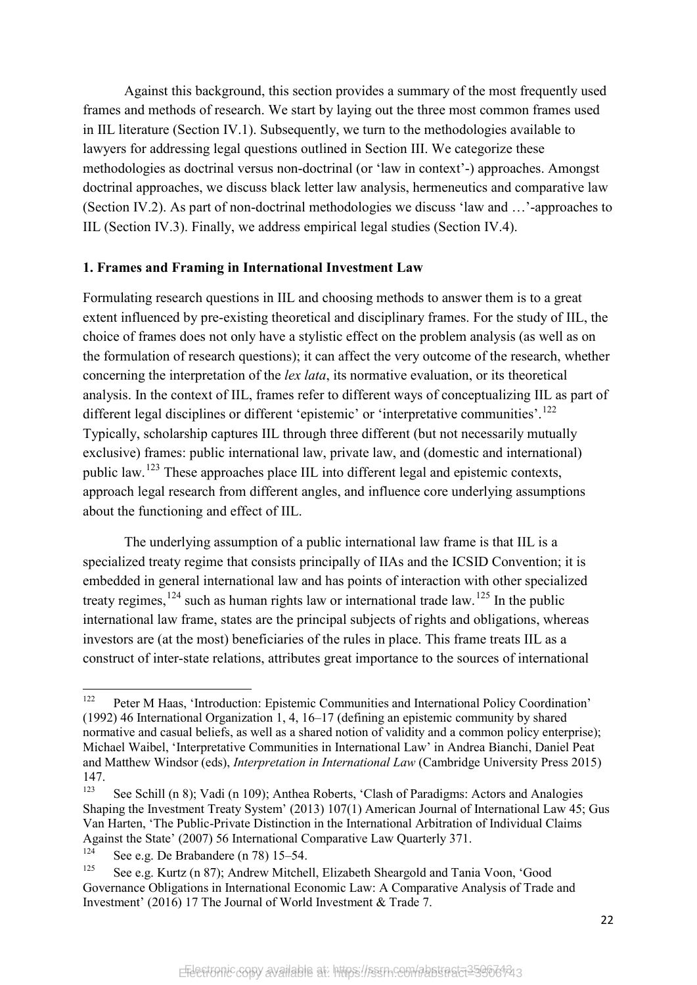Against this background, this section provides a summary of the most frequently used frames and methods of research. We start by laying out the three most common frames used in IIL literature (Section IV.1). Subsequently, we turn to the methodologies available to lawyers for addressing legal questions outlined in Section III. We categorize these methodologies as doctrinal versus non-doctrinal (or 'law in context'-) approaches. Amongst doctrinal approaches, we discuss black letter law analysis, hermeneutics and comparative law (Section IV.2). As part of non-doctrinal methodologies we discuss 'law and …'-approaches to IIL (Section IV.3). Finally, we address empirical legal studies (Section IV.4).

#### **1. Frames and Framing in International Investment Law**

Formulating research questions in IIL and choosing methods to answer them is to a great extent influenced by pre-existing theoretical and disciplinary frames. For the study of IIL, the choice of frames does not only have a stylistic effect on the problem analysis (as well as on the formulation of research questions); it can affect the very outcome of the research, whether concerning the interpretation of the *lex lata*, its normative evaluation, or its theoretical analysis. In the context of IIL, frames refer to different ways of conceptualizing IIL as part of different legal disciplines or different 'epistemic' or 'interpretative communities'.<sup>[122](#page-23-0)</sup> Typically, scholarship captures IIL through three different (but not necessarily mutually exclusive) frames: public international law, private law, and (domestic and international) public law.[123](#page-23-1) These approaches place IIL into different legal and epistemic contexts, approach legal research from different angles, and influence core underlying assumptions about the functioning and effect of IIL.

The underlying assumption of a public international law frame is that IIL is a specialized treaty regime that consists principally of IIAs and the ICSID Convention; it is embedded in general international law and has points of interaction with other specialized treaty regimes, $124$  such as human rights law or international trade law.<sup>[125](#page-23-3)</sup> In the public international law frame, states are the principal subjects of rights and obligations, whereas investors are (at the most) beneficiaries of the rules in place. This frame treats IIL as a construct of inter-state relations, attributes great importance to the sources of international

<span id="page-23-0"></span><sup>122</sup> Peter M Haas, 'Introduction: Epistemic Communities and International Policy Coordination' (1992) 46 International Organization 1, 4, 16–17 (defining an epistemic community by shared normative and casual beliefs, as well as a shared notion of validity and a common policy enterprise); Michael Waibel, 'Interpretative Communities in International Law' in Andrea Bianchi, Daniel Peat and Matthew Windsor (eds), *Interpretation in International Law* (Cambridge University Press 2015)  $147.$ 

<span id="page-23-1"></span>See Schill (n 8); Vadi (n 109); Anthea Roberts, 'Clash of Paradigms: Actors and Analogies Shaping the Investment Treaty System' (2013) 107(1) American Journal of International Law 45; Gus Van Harten, 'The Public-Private Distinction in the International Arbitration of Individual Claims Against the State' (2007) 56 International Comparative Law Quarterly 371.

<span id="page-23-2"></span><sup>&</sup>lt;sup>124</sup> See e.g. De Brabandere (n 78) 15–54.

<span id="page-23-3"></span>See e.g. Kurtz (n 87); Andrew Mitchell, Elizabeth Sheargold and Tania Voon, 'Good Governance Obligations in International Economic Law: A Comparative Analysis of Trade and Investment' (2016) 17 The Journal of World Investment & Trade 7.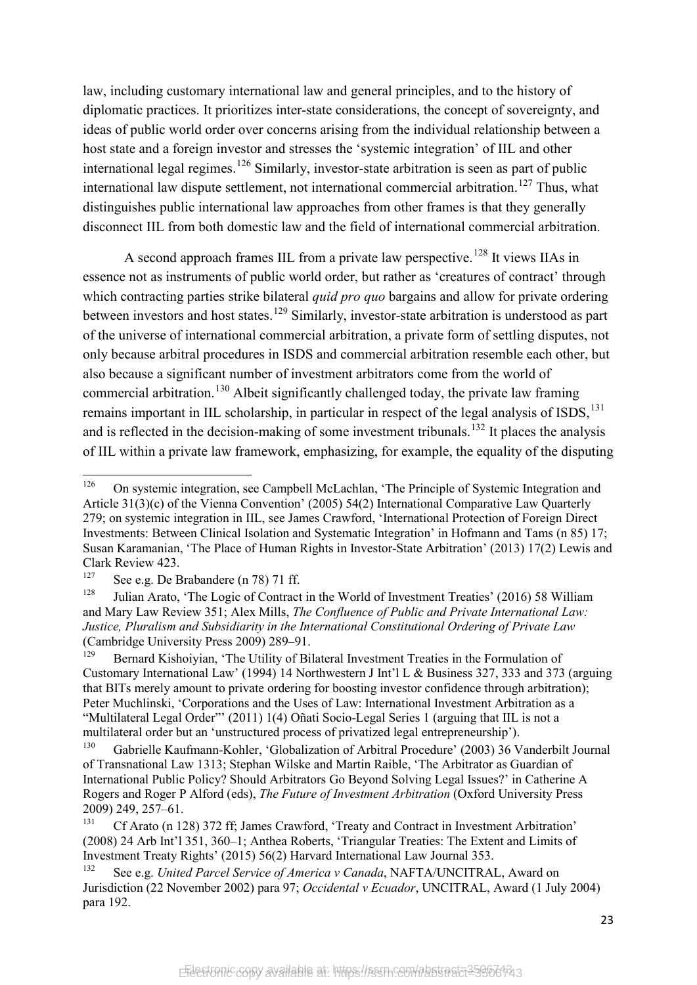law, including customary international law and general principles, and to the history of diplomatic practices. It prioritizes inter-state considerations, the concept of sovereignty, and ideas of public world order over concerns arising from the individual relationship between a host state and a foreign investor and stresses the 'systemic integration' of IIL and other international legal regimes.<sup>[126](#page-24-0)</sup> Similarly, investor-state arbitration is seen as part of public international law dispute settlement, not international commercial arbitration.<sup>[127](#page-24-1)</sup> Thus, what distinguishes public international law approaches from other frames is that they generally disconnect IIL from both domestic law and the field of international commercial arbitration.

A second approach frames IIL from a private law perspective.<sup>[128](#page-24-2)</sup> It views IIAs in essence not as instruments of public world order, but rather as 'creatures of contract' through which contracting parties strike bilateral *quid pro quo* bargains and allow for private ordering between investors and host states.<sup>[129](#page-24-3)</sup> Similarly, investor-state arbitration is understood as part of the universe of international commercial arbitration, a private form of settling disputes, not only because arbitral procedures in ISDS and commercial arbitration resemble each other, but also because a significant number of investment arbitrators come from the world of commercial arbitration.<sup>[130](#page-24-4)</sup> Albeit significantly challenged today, the private law framing remains important in IIL scholarship, in particular in respect of the legal analysis of ISDS, <sup>[131](#page-24-5)</sup> and is reflected in the decision-making of some investment tribunals.<sup>[132](#page-24-6)</sup> It places the analysis of IIL within a private law framework, emphasizing, for example, the equality of the disputing

<span id="page-24-0"></span><sup>126</sup> <sup>126</sup> On systemic integration, see Campbell McLachlan, 'The Principle of Systemic Integration and Article 31(3)(c) of the Vienna Convention' (2005) 54(2) International Comparative Law Quarterly 279; on systemic integration in IIL, see James Crawford, 'International Protection of Foreign Direct Investments: Between Clinical Isolation and Systematic Integration' in Hofmann and Tams (n [85\)](#page-17-11) 17; Susan Karamanian, 'The Place of Human Rights in Investor-State Arbitration' (2013) 17(2) Lewis and Clark Review 423.

<sup>&</sup>lt;sup>127</sup> See e.g. De Brabandere (n 78) 71 ff.

<span id="page-24-2"></span><span id="page-24-1"></span>Julian Arato, 'The Logic of Contract in the World of Investment Treaties' (2016) 58 William and Mary Law Review 351; Alex Mills, *The Confluence of Public and Private International Law: Justice, Pluralism and Subsidiarity in the International Constitutional Ordering of Private Law* (Cambridge University Press 2009) 289–91.

<span id="page-24-3"></span><sup>&</sup>lt;sup>129</sup> Bernard Kishoiyian, 'The Utility of Bilateral Investment Treaties in the Formulation of Customary International Law' (1994) 14 Northwestern J Int'l L & Business 327, 333 and 373 (arguing that BITs merely amount to private ordering for boosting investor confidence through arbitration); Peter Muchlinski, 'Corporations and the Uses of Law: International Investment Arbitration as a "Multilateral Legal Order"' (2011) 1(4) Oñati Socio-Legal Series 1 (arguing that IIL is not a multilateral order but an 'unstructured process of privatized legal entrepreneurship').

<span id="page-24-4"></span><sup>130</sup> Gabrielle Kaufmann-Kohler, 'Globalization of Arbitral Procedure' (2003) 36 Vanderbilt Journal of Transnational Law 1313; Stephan Wilske and Martin Raible, 'The Arbitrator as Guardian of International Public Policy? Should Arbitrators Go Beyond Solving Legal Issues?' in Catherine A Rogers and Roger P Alford (eds), *The Future of Investment Arbitration* (Oxford University Press 2009) 249, 257–61.

<span id="page-24-5"></span><sup>&</sup>lt;sup>131</sup> Cf Arato (n 128) 372 ff; James Crawford, 'Treaty and Contract in Investment Arbitration' (2008) 24 Arb Int'l 351, 360–1; Anthea Roberts, 'Triangular Treaties: The Extent and Limits of Investment Treaty Rights' (2015) 56(2) Harvard International Law Journal 353.

<span id="page-24-6"></span><sup>132</sup> See e.g. *United Parcel Service of America v Canada*, NAFTA/UNCITRAL, Award on Jurisdiction (22 November 2002) para 97; *Occidental v Ecuador*, UNCITRAL, Award (1 July 2004) para 192.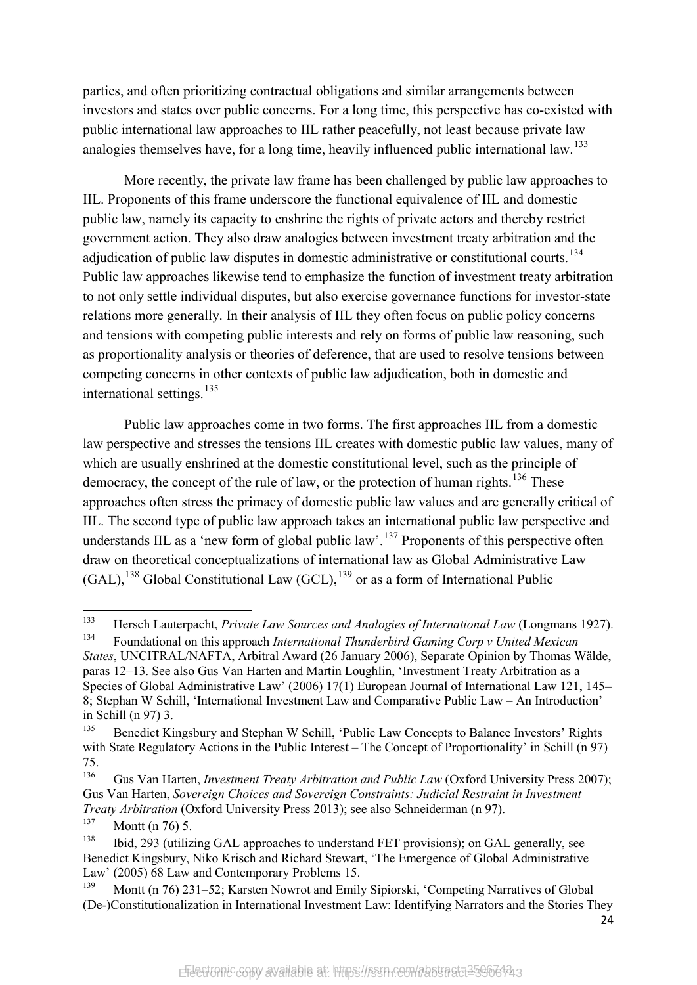parties, and often prioritizing contractual obligations and similar arrangements between investors and states over public concerns. For a long time, this perspective has co-existed with public international law approaches to IIL rather peacefully, not least because private law analogies themselves have, for a long time, heavily influenced public international law.<sup>[133](#page-25-0)</sup>

More recently, the private law frame has been challenged by public law approaches to IIL. Proponents of this frame underscore the functional equivalence of IIL and domestic public law, namely its capacity to enshrine the rights of private actors and thereby restrict government action. They also draw analogies between investment treaty arbitration and the adjudication of public law disputes in domestic administrative or constitutional courts.<sup>[134](#page-25-1)</sup> Public law approaches likewise tend to emphasize the function of investment treaty arbitration to not only settle individual disputes, but also exercise governance functions for investor-state relations more generally. In their analysis of IIL they often focus on public policy concerns and tensions with competing public interests and rely on forms of public law reasoning, such as proportionality analysis or theories of deference, that are used to resolve tensions between competing concerns in other contexts of public law adjudication, both in domestic and international settings.  $135$ 

Public law approaches come in two forms. The first approaches IIL from a domestic law perspective and stresses the tensions IIL creates with domestic public law values, many of which are usually enshrined at the domestic constitutional level, such as the principle of democracy, the concept of the rule of law, or the protection of human rights.<sup>[136](#page-25-3)</sup> These approaches often stress the primacy of domestic public law values and are generally critical of IIL. The second type of public law approach takes an international public law perspective and understands IIL as a 'new form of global public law'.<sup>[137](#page-25-4)</sup> Proponents of this perspective often draw on theoretical conceptualizations of international law as Global Administrative Law  $(GAL)$ ,<sup>[138](#page-25-5)</sup> Global Constitutional Law  $(GCL)$ ,<sup>[139](#page-25-6)</sup> or as a form of International Public

<span id="page-25-0"></span><sup>133</sup> <sup>133</sup> Hersch Lauterpacht, *Private Law Sources and Analogies of International Law* (Longmans 1927).

<span id="page-25-1"></span><sup>134</sup> Foundational on this approach *International Thunderbird Gaming Corp v United Mexican States*, UNCITRAL/NAFTA, Arbitral Award (26 January 2006), Separate Opinion by Thomas Wälde, paras 12–13. See also Gus Van Harten and Martin Loughlin, 'Investment Treaty Arbitration as a Species of Global Administrative Law' (2006) 17(1) European Journal of International Law 121, 145– 8; Stephan W Schill, 'International Investment Law and Comparative Public Law – An Introduction' in Schill (n 97) 3.

<span id="page-25-2"></span><sup>&</sup>lt;sup>135</sup> Benedict Kingsbury and Stephan W Schill, 'Public Law Concepts to Balance Investors' Rights with State Regulatory Actions in the Public Interest – The Concept of Proportionality' in Schill (n 97)  $75.136$ 

<span id="page-25-3"></span><sup>136</sup> Gus Van Harten, *Investment Treaty Arbitration and Public Law* (Oxford University Press 2007); Gus Van Harten, *Sovereign Choices and Sovereign Constraints: Judicial Restraint in Investment Treaty Arbitration* (Oxford University Press 2013); see also Schneiderman (n 97).<br><sup>137</sup> Mant (n 76) 5

Montt (n 76) 5.

<span id="page-25-5"></span><span id="page-25-4"></span><sup>&</sup>lt;sup>138</sup> Ibid, 293 (utilizing GAL approaches to understand FET provisions); on GAL generally, see Benedict Kingsbury, Niko Krisch and Richard Stewart, 'The Emergence of Global Administrative Law' (2005) 68 Law and Contemporary Problems 15.

<span id="page-25-6"></span>Montt (n 76) 231–52; Karsten Nowrot and Emily Sipiorski, 'Competing Narratives of Global (De-)Constitutionalization in International Investment Law: Identifying Narrators and the Stories They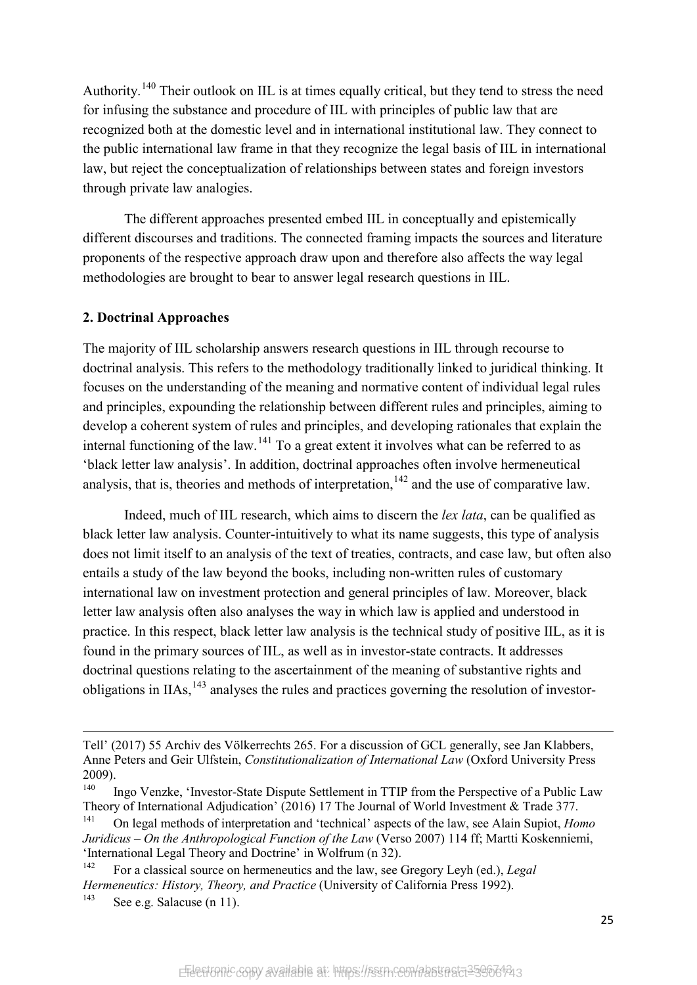Authority.<sup>[140](#page-26-0)</sup> Their outlook on IIL is at times equally critical, but they tend to stress the need for infusing the substance and procedure of IIL with principles of public law that are recognized both at the domestic level and in international institutional law. They connect to the public international law frame in that they recognize the legal basis of IIL in international law, but reject the conceptualization of relationships between states and foreign investors through private law analogies.

The different approaches presented embed IIL in conceptually and epistemically different discourses and traditions. The connected framing impacts the sources and literature proponents of the respective approach draw upon and therefore also affects the way legal methodologies are brought to bear to answer legal research questions in IIL.

#### **2. Doctrinal Approaches**

The majority of IIL scholarship answers research questions in IIL through recourse to doctrinal analysis. This refers to the methodology traditionally linked to juridical thinking. It focuses on the understanding of the meaning and normative content of individual legal rules and principles, expounding the relationship between different rules and principles, aiming to develop a coherent system of rules and principles, and developing rationales that explain the internal functioning of the law.<sup>[141](#page-26-1)</sup> To a great extent it involves what can be referred to as 'black letter law analysis'. In addition, doctrinal approaches often involve hermeneutical analysis, that is, theories and methods of interpretation,  $142$  and the use of comparative law.

Indeed, much of IIL research, which aims to discern the *lex lata*, can be qualified as black letter law analysis. Counter-intuitively to what its name suggests, this type of analysis does not limit itself to an analysis of the text of treaties, contracts, and case law, but often also entails a study of the law beyond the books, including non-written rules of customary international law on investment protection and general principles of law. Moreover, black letter law analysis often also analyses the way in which law is applied and understood in practice. In this respect, black letter law analysis is the technical study of positive IIL, as it is found in the primary sources of IIL, as well as in investor-state contracts. It addresses doctrinal questions relating to the ascertainment of the meaning of substantive rights and obligations in IIAs,  $^{143}$  $^{143}$  $^{143}$  analyses the rules and practices governing the resolution of investor-

**.** 

Tell' (2017) 55 Archiv des Völkerrechts 265. For a discussion of GCL generally, see Jan Klabbers, Anne Peters and Geir Ulfstein, *Constitutionalization of International Law* (Oxford University Press  $2009$ ).

<span id="page-26-0"></span>Ingo Venzke, 'Investor-State Dispute Settlement in TTIP from the Perspective of a Public Law Theory of International Adjudication' (2016) 17 The Journal of World Investment & Trade 377.

<span id="page-26-1"></span><sup>141</sup> On legal methods of interpretation and 'technical' aspects of the law, see Alain Supiot, *Homo Juridicus – On the Anthropological Function of the Law* (Verso 2007) 114 ff; Martti Koskenniemi, 'International Legal Theory and Doctrine' in Wolfrum (n 32).

<span id="page-26-2"></span><sup>142</sup> For a classical source on hermeneutics and the law, see Gregory Leyh (ed.), *Legal Hermeneutics: History, Theory, and Practice* (University of California Press 1992).

<span id="page-26-3"></span><sup>&</sup>lt;sup>143</sup> See e.g. Salacuse (n 11).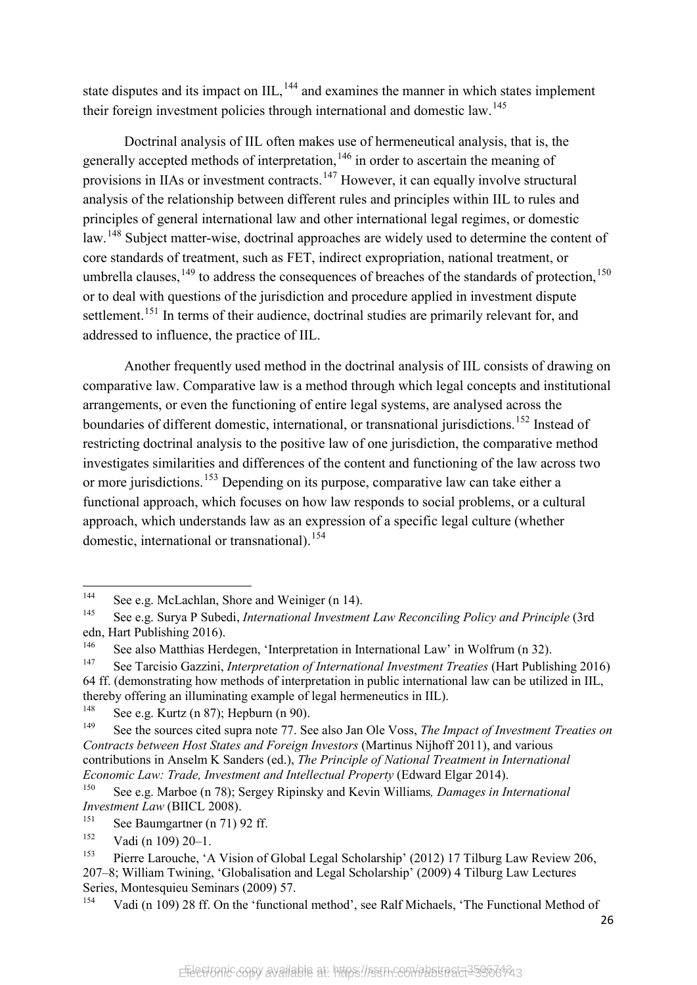state disputes and its impact on  $III$ ,  $^{144}$  $^{144}$  $^{144}$  and examines the manner in which states implement their foreign investment policies through international and domestic law.<sup>[145](#page-27-1)</sup>

Doctrinal analysis of IIL often makes use of hermeneutical analysis, that is, the generally accepted methods of interpretation,  $146$  in order to ascertain the meaning of provisions in IIAs or investment contracts.<sup>[147](#page-27-3)</sup> However, it can equally involve structural analysis of the relationship between different rules and principles within IIL to rules and principles of general international law and other international legal regimes, or domestic law.<sup>[148](#page-27-4)</sup> Subject matter-wise, doctrinal approaches are widely used to determine the content of core standards of treatment, such as FET, indirect expropriation, national treatment, or umbrella clauses,<sup>[149](#page-27-5)</sup> to address the consequences of breaches of the standards of protection,<sup>[150](#page-27-6)</sup> or to deal with questions of the jurisdiction and procedure applied in investment dispute settlement.<sup>[151](#page-27-7)</sup> In terms of their audience, doctrinal studies are primarily relevant for, and addressed to influence, the practice of IIL.

Another frequently used method in the doctrinal analysis of IIL consists of drawing on comparative law. Comparative law is a method through which legal concepts and institutional arrangements, or even the functioning of entire legal systems, are analysed across the boundaries of different domestic, international, or transnational jurisdictions.<sup>[152](#page-27-8)</sup> Instead of restricting doctrinal analysis to the positive law of one jurisdiction, the comparative method investigates similarities and differences of the content and functioning of the law across two or more jurisdictions.<sup>[153](#page-27-9)</sup> Depending on its purpose, comparative law can take either a functional approach, which focuses on how law responds to social problems, or a cultural approach, which understands law as an expression of a specific legal culture (whether domestic, international or transnational).<sup>[154](#page-27-10)</sup>

<span id="page-27-10"></span><sup>154</sup> Vadi (n 109) 28 ff. On the 'functional method', see Ralf Michaels, 'The Functional Method of

<span id="page-27-0"></span> $144$ See e.g. McLachlan, Shore and Weiniger (n 14).

<span id="page-27-1"></span><sup>145</sup> See e.g. Surya P Subedi, *International Investment Law Reconciling Policy and Principle* (3rd edn, Hart Publishing 2016).

<span id="page-27-2"></span><sup>&</sup>lt;sup>146</sup> See also Matthias Herdegen, 'Interpretation in International Law' in Wolfrum (n 32).

<span id="page-27-3"></span><sup>147</sup> See Tarcisio Gazzini, *Interpretation of International Investment Treaties* (Hart Publishing 2016) 64 ff. (demonstrating how methods of interpretation in public international law can be utilized in IIL, thereby offering an illuminating example of legal hermeneutics in IIL).<br> $^{148}$  See e.g. Kurtz (p. 87): Herburn (p. 90).

<span id="page-27-4"></span><sup>&</sup>lt;sup>148</sup> See e.g. Kurtz (n 87); Hepburn (n 90).

<span id="page-27-5"></span><sup>149</sup> See the sources cited supra note 77. See also Jan Ole Voss, *The Impact of Investment Treaties on Contracts between Host States and Foreign Investors* (Martinus Nijhoff 2011), and various contributions in Anselm K Sanders (ed.), *The Principle of National Treatment in International Economic Law: Trade, Investment and Intellectual Property (Edward Elgar 2014).*<br><sup>150</sup> See e.g. Marboe (n. 79): Sergey Bininglay and Kavin Williams, Damages in In

<span id="page-27-6"></span><sup>150</sup> See e.g. Marboe (n 78); Sergey Ripinsky and Kevin Williams*, Damages in International Investment Law* (BIICL 2008).

<span id="page-27-7"></span><sup>&</sup>lt;sup>151</sup> See Baumgartner (n 71) 92 ff.<br><sup>152</sup> Vedi (n 100) 20-1

<span id="page-27-8"></span><sup>&</sup>lt;sup>152</sup> Vadi (n 109) 20–1.

<span id="page-27-9"></span><sup>153</sup> Pierre Larouche, 'A Vision of Global Legal Scholarship' (2012) 17 Tilburg Law Review 206, 207–8; William Twining, 'Globalisation and Legal Scholarship' (2009) 4 Tilburg Law Lectures Series, Montesquieu Seminars (2009) 57.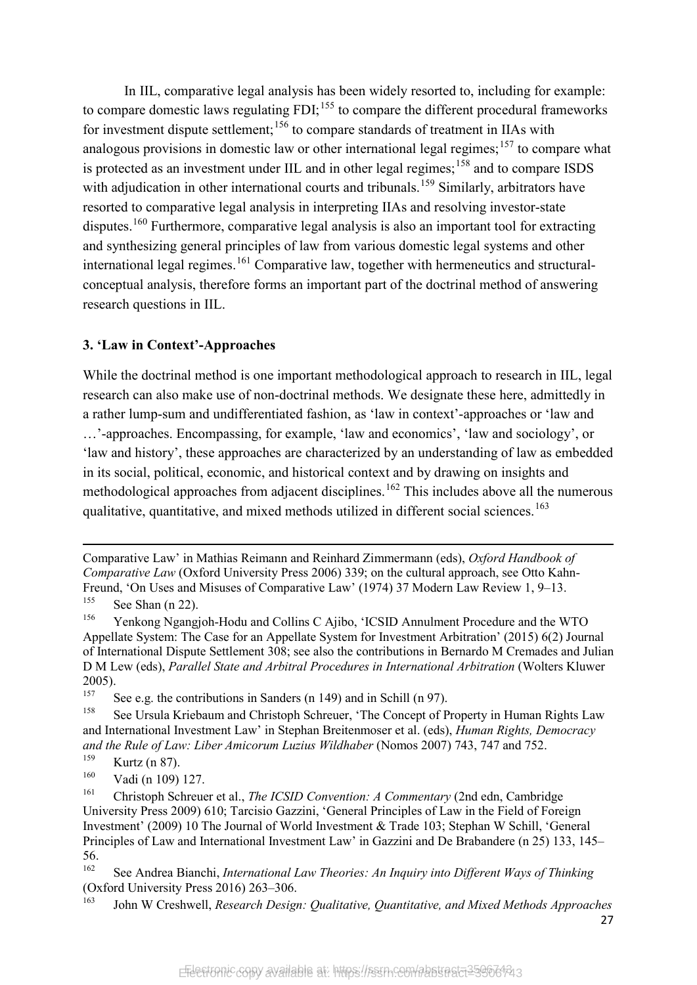In IIL, comparative legal analysis has been widely resorted to, including for example: to compare domestic laws regulating  $FDI$ ;<sup>[155](#page-28-0)</sup> to compare the different procedural frameworks for investment dispute settlement;<sup>[156](#page-28-1)</sup> to compare standards of treatment in IIAs with analogous provisions in domestic law or other international legal regimes;  $157$  to compare what is protected as an investment under IIL and in other legal regimes;<sup>[158](#page-28-3)</sup> and to compare ISDS with adjudication in other international courts and tribunals.<sup>[159](#page-28-4)</sup> Similarly, arbitrators have resorted to comparative legal analysis in interpreting IIAs and resolving investor-state disputes.<sup>[160](#page-28-5)</sup> Furthermore, comparative legal analysis is also an important tool for extracting and synthesizing general principles of law from various domestic legal systems and other international legal regimes.<sup>[161](#page-28-6)</sup> Comparative law, together with hermeneutics and structuralconceptual analysis, therefore forms an important part of the doctrinal method of answering research questions in IIL.

#### **3. 'Law in Context'-Approaches**

While the doctrinal method is one important methodological approach to research in IIL, legal research can also make use of non-doctrinal methods. We designate these here, admittedly in a rather lump-sum and undifferentiated fashion, as 'law in context'-approaches or 'law and …'-approaches. Encompassing, for example, 'law and economics', 'law and sociology', or 'law and history', these approaches are characterized by an understanding of law as embedded in its social, political, economic, and historical context and by drawing on insights and methodological approaches from adjacent disciplines.<sup>[162](#page-28-7)</sup> This includes above all the numerous qualitative, quantitative, and mixed methods utilized in different social sciences.<sup>[163](#page-28-8)</sup>

Comparative Law' in Mathias Reimann and Reinhard Zimmermann (eds), *Oxford Handbook of Comparative Law* (Oxford University Press 2006) 339; on the cultural approach, see Otto Kahn-Freund, 'On Uses and Misuses of Comparative Law' (1974) 37 Modern Law Review 1, 9–13.

**.** 

<span id="page-28-0"></span> $155$  See Shan (n 22).

<span id="page-28-1"></span><sup>156</sup> Yenkong Ngangjoh-Hodu and Collins C Ajibo, 'ICSID Annulment Procedure and the WTO Appellate System: The Case for an Appellate System for Investment Arbitration' (2015) 6(2) Journal of International Dispute Settlement 308; see also the contributions in Bernardo M Cremades and Julian D M Lew (eds), *Parallel State and Arbitral Procedures in International Arbitration* (Wolters Kluwer 2005).

<span id="page-28-2"></span><sup>&</sup>lt;sup>157</sup> See e.g. the contributions in Sanders (n 149) and in Schill (n 97).

<span id="page-28-3"></span><sup>&</sup>lt;sup>158</sup> See Ursula Kriebaum and Christoph Schreuer, 'The Concept of Property in Human Rights Law and International Investment Law' in Stephan Breitenmoser et al. (eds), *Human Rights, Democracy and the Rule of Law: Liber Amicorum Luzius Wildhaber* (Nomos 2007) 743, 747 and 752.

<span id="page-28-4"></span> $\frac{159}{160}$  Kurtz (n 87).

Vadi (n 109) 127.

<span id="page-28-6"></span><span id="page-28-5"></span><sup>161</sup> Christoph Schreuer et al., *The ICSID Convention: A Commentary* (2nd edn, Cambridge University Press 2009) 610; Tarcisio Gazzini, 'General Principles of Law in the Field of Foreign Investment' (2009) 10 The Journal of World Investment & Trade 103; Stephan W Schill, 'General Principles of Law and International Investment Law' in Gazzini and De Brabandere (n 25) 133, 145– 56.

<span id="page-28-7"></span><sup>162</sup> See Andrea Bianchi, *International Law Theories: An Inquiry into Different Ways of Thinking* (Oxford University Press 2016) 263–306.

<span id="page-28-8"></span><sup>163</sup> John W Creshwell, *Research Design: Qualitative, Quantitative, and Mixed Methods Approaches*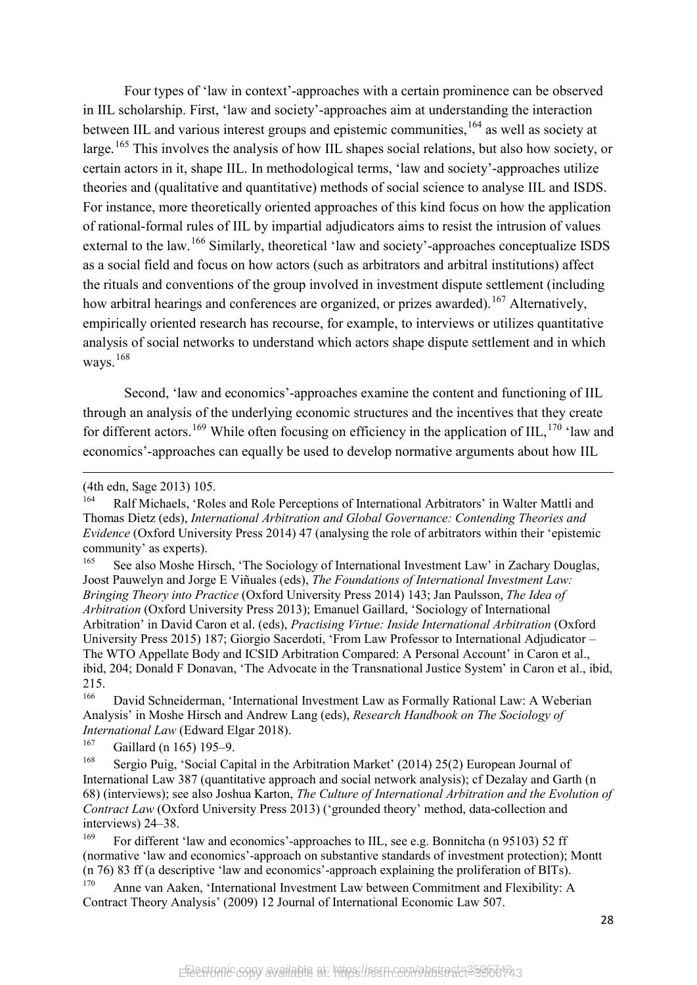Four types of 'law in context'-approaches with a certain prominence can be observed in IIL scholarship. First, 'law and society'-approaches aim at understanding the interaction between IIL and various interest groups and epistemic communities, <sup>[164](#page-29-0)</sup> as well as society at large.<sup>[165](#page-29-1)</sup> This involves the analysis of how IIL shapes social relations, but also how society, or certain actors in it, shape IIL. In methodological terms, 'law and society'-approaches utilize theories and (qualitative and quantitative) methods of social science to analyse IIL and ISDS. For instance, more theoretically oriented approaches of this kind focus on how the application of rational-formal rules of IIL by impartial adjudicators aims to resist the intrusion of values external to the law.<sup>[166](#page-29-2)</sup> Similarly, theoretical 'law and society'-approaches conceptualize ISDS as a social field and focus on how actors (such as arbitrators and arbitral institutions) affect the rituals and conventions of the group involved in investment dispute settlement (including how arbitral hearings and conferences are organized, or prizes awarded).<sup>[167](#page-29-3)</sup> Alternatively, empirically oriented research has recourse, for example, to interviews or utilizes quantitative analysis of social networks to understand which actors shape dispute settlement and in which ways.<sup>[168](#page-29-4)</sup>

Second, 'law and economics'-approaches examine the content and functioning of IIL through an analysis of the underlying economic structures and the incentives that they create for different actors.<sup>[169](#page-29-5)</sup> While often focusing on efficiency in the application of IIL,<sup>[170](#page-29-6)</sup> 'law and economics'-approaches can equally be used to develop normative arguments about how IIL

(4th edn, Sage 2013) 105.

<u>.</u>

<span id="page-29-1"></span>See also Moshe Hirsch, 'The Sociology of International Investment Law' in Zachary Douglas, Joost Pauwelyn and Jorge E Viñuales (eds), *The Foundations of International Investment Law: Bringing Theory into Practice* (Oxford University Press 2014) 143; Jan Paulsson, *The Idea of Arbitration* (Oxford University Press 2013); Emanuel Gaillard, 'Sociology of International Arbitration' in David Caron et al. (eds), *Practising Virtue: Inside International Arbitration* (Oxford University Press 2015) 187; Giorgio Sacerdoti, 'From Law Professor to International Adjudicator – The WTO Appellate Body and ICSID Arbitration Compared: A Personal Account' in Caron et al., ibid, 204; Donald F Donavan, 'The Advocate in the Transnational Justice System' in Caron et al., ibid,  $215.$ <sub>166</sub>

<span id="page-29-2"></span>David Schneiderman, 'International Investment Law as Formally Rational Law: A Weberian Analysis' in Moshe Hirsch and Andrew Lang (eds), *Research Handbook on The Sociology of International Law* (Edward Elgar 2018).<br><sup>167</sup> Caillard (n 165) 105, 0

<span id="page-29-3"></span>Gaillard (n 165) 195–9.

<span id="page-29-4"></span><sup>168</sup> Sergio Puig, 'Social Capital in the Arbitration Market' (2014) 25(2) European Journal of International Law 387 (quantitative approach and social network analysis); cf Dezalay and Garth (n 68) (interviews); see also Joshua Karton, *The Culture of International Arbitration and the Evolution of Contract Law* (Oxford University Press 2013) ('grounded theory' method, data-collection and interviews) 24–38.

<span id="page-29-5"></span><sup>169</sup> For different 'law and economics'-approaches to IIL, see e.g. Bonnitcha (n 9[5103\)](#page-19-10) 52 ff (normative 'law and economics'-approach on substantive standards of investment protection); Montt (n 76) 83 ff (a descriptive 'law and economics'-approach explaining the proliferation of BITs). <sup>170</sup> Anne van Aaken, 'International Investment Law between Commitment and Flexibility: A

<span id="page-29-6"></span>Contract Theory Analysis' (2009) 12 Journal of International Economic Law 507.

<span id="page-29-0"></span>Ralf Michaels, 'Roles and Role Perceptions of International Arbitrators' in Walter Mattli and Thomas Dietz (eds), *International Arbitration and Global Governance: Contending Theories and Evidence* (Oxford University Press 2014) 47 (analysing the role of arbitrators within their 'epistemic community' as experts).<br><sup>165</sup> See also Masha II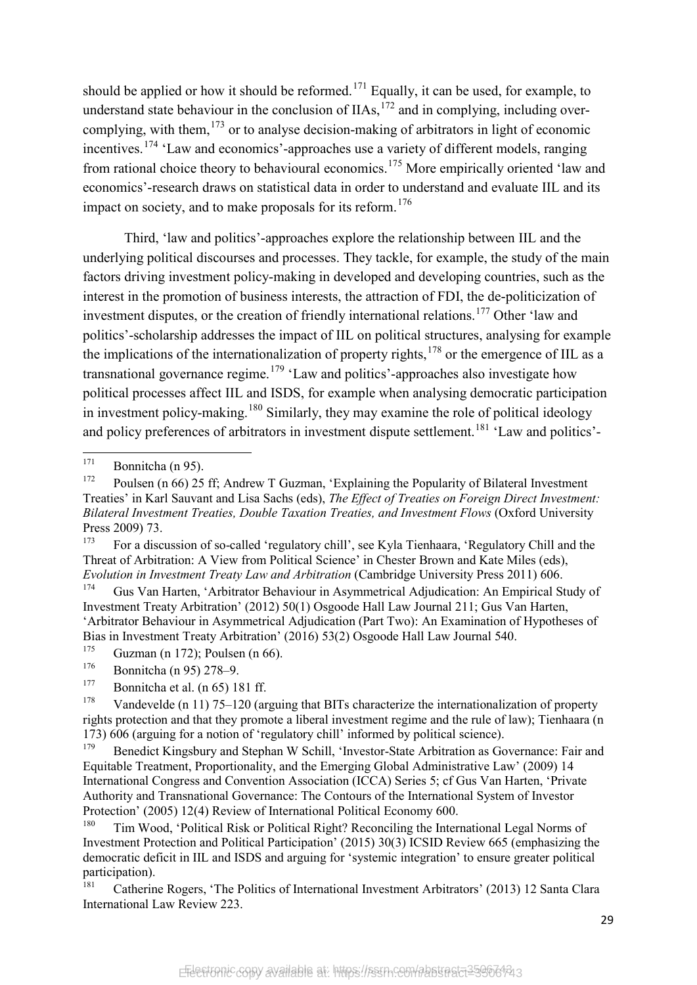should be applied or how it should be reformed.<sup>[171](#page-30-0)</sup> Equally, it can be used, for example, to understand state behaviour in the conclusion of  $IIAs$ ,  $^{172}$  $^{172}$  $^{172}$  and in complying, including overcomplying, with them,  $173$  or to analyse decision-making of arbitrators in light of economic incentives.[174](#page-30-3) 'Law and economics'-approaches use a variety of different models, ranging from rational choice theory to behavioural economics.[175](#page-30-4) More empirically oriented 'law and economics'-research draws on statistical data in order to understand and evaluate IIL and its impact on society, and to make proposals for its reform. $176$ 

Third, 'law and politics'-approaches explore the relationship between IIL and the underlying political discourses and processes. They tackle, for example, the study of the main factors driving investment policy-making in developed and developing countries, such as the interest in the promotion of business interests, the attraction of FDI, the de-politicization of investment disputes, or the creation of friendly international relations.<sup>[177](#page-30-6)</sup> Other 'law and politics'-scholarship addresses the impact of IIL on political structures, analysing for example the implications of the internationalization of property rights, $178$  or the emergence of IIL as a transnational governance regime.<sup>[179](#page-30-8)</sup> 'Law and politics'-approaches also investigate how political processes affect IIL and ISDS, for example when analysing democratic participation in investment policy-making.<sup>[180](#page-30-9)</sup> Similarly, they may examine the role of political ideology and policy preferences of arbitrators in investment dispute settlement.<sup>[181](#page-30-10)</sup> 'Law and politics'-

<span id="page-30-2"></span><sup>173</sup> For a discussion of so-called 'regulatory chill', see Kyla Tienhaara, 'Regulatory Chill and the Threat of Arbitration: A View from Political Science' in Chester Brown and Kate Miles (eds), *Evolution in Investment Treaty Law and Arbitration* (Cambridge University Press 2011) 606.

<span id="page-30-3"></span><sup>174</sup> Gus Van Harten, 'Arbitrator Behaviour in Asymmetrical Adjudication: An Empirical Study of Investment Treaty Arbitration' (2012) 50(1) Osgoode Hall Law Journal 211; Gus Van Harten, 'Arbitrator Behaviour in Asymmetrical Adjudication (Part Two): An Examination of Hypotheses of Bias in Investment Treaty Arbitration' (2016) 53(2) Osgoode Hall Law Journal 540.<br> $\frac{175}{175}$  Guzman (n.172): Poulaan (n.66)

<span id="page-30-4"></span> $175$  Guzman (n 172); Poulsen (n 66).<br> $176$  Bonnitable (n 05) 278, 0

<span id="page-30-0"></span> $171$  Bonnitcha (n 95).<br> $172$  Boulson (n 66) 25

<span id="page-30-1"></span>Poulsen (n 66) 25 ff; Andrew T Guzman, 'Explaining the Popularity of Bilateral Investment Treaties' in Karl Sauvant and Lisa Sachs (eds), *The Effect of Treaties on Foreign Direct Investment: Bilateral Investment Treaties, Double Taxation Treaties, and Investment Flows* (Oxford University Press 2009) 73.

<span id="page-30-5"></span> $^{176}$  Bonnitcha (n 95) 278–9.

Bonnitcha et al. (n 65) 181 ff.

<span id="page-30-7"></span><span id="page-30-6"></span><sup>&</sup>lt;sup>178</sup> Vandevelde (n 11) 75–120 (arguing that BITs characterize the internationalization of property rights protection and that they promote a liberal investment regime and the rule of law); Tienhaara (n 173) 606 (arguing for a notion of 'regulatory chill' informed by political science).

<span id="page-30-8"></span><sup>&</sup>lt;sup>179</sup> Benedict Kingsbury and Stephan W Schill, 'Investor-State Arbitration as Governance: Fair and Equitable Treatment, Proportionality, and the Emerging Global Administrative Law' (2009) 14 International Congress and Convention Association (ICCA) Series 5; cf Gus Van Harten, 'Private Authority and Transnational Governance: The Contours of the International System of Investor Protection' (2005) 12(4) Review of International Political Economy 600.<br><sup>180</sup> Tim Wood, 'Political Pick or Political Pickt? Peconsiling the Inter-

<span id="page-30-9"></span><sup>180</sup> Tim Wood, 'Political Risk or Political Right? Reconciling the International Legal Norms of Investment Protection and Political Participation' (2015) 30(3) ICSID Review 665 (emphasizing the democratic deficit in IIL and ISDS and arguing for 'systemic integration' to ensure greater political participation).

<span id="page-30-10"></span><sup>181</sup> Catherine Rogers, 'The Politics of International Investment Arbitrators' (2013) 12 Santa Clara International Law Review 223.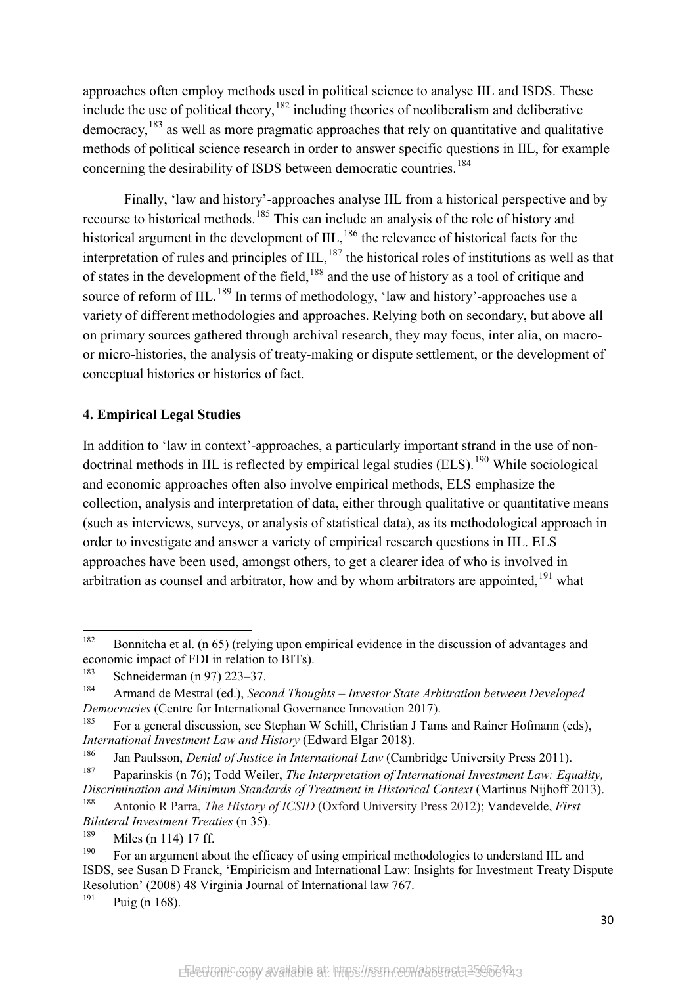approaches often employ methods used in political science to analyse IIL and ISDS. These include the use of political theory,  $182$  including theories of neoliberalism and deliberative democracy,  $^{183}$  $^{183}$  $^{183}$  as well as more pragmatic approaches that rely on quantitative and qualitative methods of political science research in order to answer specific questions in IIL, for example concerning the desirability of ISDS between democratic countries.<sup>[184](#page-31-2)</sup>

Finally, 'law and history'-approaches analyse IIL from a historical perspective and by recourse to historical methods.[185](#page-31-3) This can include an analysis of the role of history and historical argument in the development of  $III<sub>186</sub>$  $III<sub>186</sub>$  $III<sub>186</sub>$ , the relevance of historical facts for the interpretation of rules and principles of  $III$ ,  $^{187}$  $^{187}$  $^{187}$  the historical roles of institutions as well as that of states in the development of the field, <sup>[188](#page-31-6)</sup> and the use of history as a tool of critique and source of reform of IIL.<sup>[189](#page-31-7)</sup> In terms of methodology, 'law and history'-approaches use a variety of different methodologies and approaches. Relying both on secondary, but above all on primary sources gathered through archival research, they may focus, inter alia, on macroor micro-histories, the analysis of treaty-making or dispute settlement, or the development of conceptual histories or histories of fact.

#### **4. Empirical Legal Studies**

In addition to 'law in context'-approaches, a particularly important strand in the use of nondoctrinal methods in IIL is reflected by empirical legal studies  $(ELS)$ .<sup>[190](#page-31-8)</sup> While sociological and economic approaches often also involve empirical methods, ELS emphasize the collection, analysis and interpretation of data, either through qualitative or quantitative means (such as interviews, surveys, or analysis of statistical data), as its methodological approach in order to investigate and answer a variety of empirical research questions in IIL. ELS approaches have been used, amongst others, to get a clearer idea of who is involved in arbitration as counsel and arbitrator, how and by whom arbitrators are appointed,  $191$  what

<span id="page-31-0"></span><sup>&</sup>lt;sup>182</sup> Bonnitcha et al. (n 65) (relying upon empirical evidence in the discussion of advantages and economic impact of FDI in relation to BITs).

<span id="page-31-1"></span><sup>&</sup>lt;sup>183</sup> Schneiderman (n 97) 223–37.

<span id="page-31-2"></span><sup>184</sup> Armand de Mestral (ed.), *Second Thoughts – Investor State Arbitration between Developed Democracies* (Centre for International Governance Innovation 2017).

<span id="page-31-3"></span><sup>&</sup>lt;sup>185</sup> For a general discussion, see Stephan W Schill, Christian J Tams and Rainer Hofmann (eds), *International Investment Law and History* (Edward Elgar 2018).

<sup>186</sup> Jan Paulsson, *Denial of Justice in International Law* (Cambridge University Press 2011).

<span id="page-31-5"></span><span id="page-31-4"></span><sup>187</sup> Paparinskis (n 76); Todd Weiler, *The Interpretation of International Investment Law: Equality, Discrimination and Minimum Standards of Treatment in Historical Context* (Martinus Nijhoff 2013).

<span id="page-31-6"></span><sup>188</sup> Antonio R Parra, *The History of ICSID* (Oxford University Press 2012); Vandevelde, *First Bilateral Investment Treaties* (n 35).

<span id="page-31-7"></span> $\frac{189}{190}$  Miles (n 114) 17 ff.

<span id="page-31-8"></span><sup>190</sup> For an argument about the efficacy of using empirical methodologies to understand IIL and ISDS, see Susan D Franck, 'Empiricism and International Law: Insights for Investment Treaty Dispute Resolution' (2008) 48 Virginia Journal of International law 767.

<span id="page-31-9"></span> $191$  Puig (n 168).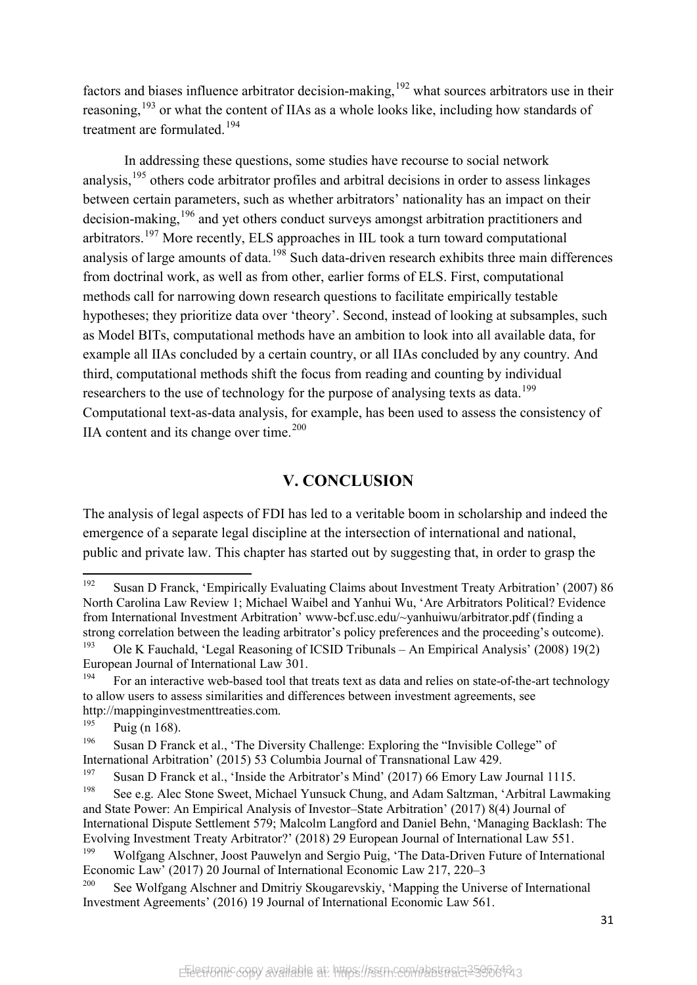factors and biases influence arbitrator decision-making,  $192$  what sources arbitrators use in their reasoning,<sup>[193](#page-32-1)</sup> or what the content of IIAs as a whole looks like, including how standards of treatment are formulated.[194](#page-32-2)

In addressing these questions, some studies have recourse to social network analysis,<sup>[195](#page-32-3)</sup> others code arbitrator profiles and arbitral decisions in order to assess linkages between certain parameters, such as whether arbitrators' nationality has an impact on their decision-making,<sup>[196](#page-32-4)</sup> and yet others conduct surveys amongst arbitration practitioners and arbitrators.[197](#page-32-5) More recently, ELS approaches in IIL took a turn toward computational analysis of large amounts of data.<sup>[198](#page-32-6)</sup> Such data-driven research exhibits three main differences from doctrinal work, as well as from other, earlier forms of ELS. First, computational methods call for narrowing down research questions to facilitate empirically testable hypotheses; they prioritize data over 'theory'. Second, instead of looking at subsamples, such as Model BITs, computational methods have an ambition to look into all available data, for example all IIAs concluded by a certain country, or all IIAs concluded by any country. And third, computational methods shift the focus from reading and counting by individual researchers to the use of technology for the purpose of analysing texts as data.<sup>[199](#page-32-7)</sup> Computational text-as-data analysis, for example, has been used to assess the consistency of IIA content and its change over time. $200$ 

## **V. CONCLUSION**

The analysis of legal aspects of FDI has led to a veritable boom in scholarship and indeed the emergence of a separate legal discipline at the intersection of international and national, public and private law. This chapter has started out by suggesting that, in order to grasp the

<span id="page-32-0"></span><sup>192</sup> Susan D Franck, 'Empirically Evaluating Claims about Investment Treaty Arbitration' (2007) 86 North Carolina Law Review 1; Michael Waibel and Yanhui Wu, 'Are Arbitrators Political? Evidence from International Investment Arbitration' www-bcf.usc.edu/~yanhuiwu/arbitrator.pdf (finding a strong correlation between the leading arbitrator's policy preferences and the proceeding's outcome).

<span id="page-32-1"></span><sup>&</sup>lt;sup>193</sup> Ole K Fauchald, 'Legal Reasoning of ICSID Tribunals – An Empirical Analysis' (2008) 19(2) European Journal of International Law 301.

<span id="page-32-2"></span><sup>&</sup>lt;sup>194</sup> For an interactive web-based tool that treats text as data and relies on state-of-the-art technology to allow users to assess similarities and differences between investment agreements, see http://mappinginvestmenttreaties.com.

<span id="page-32-3"></span> $195$  Puig (n 168).

<span id="page-32-4"></span><sup>&</sup>lt;sup>196</sup> Susan D Franck et al., 'The Diversity Challenge: Exploring the "Invisible College" of International Arbitration' (2015) 53 Columbia Journal of Transnational Law 429.

<span id="page-32-5"></span><sup>&</sup>lt;sup>197</sup> Susan D Franck et al., 'Inside the Arbitrator's Mind' (2017) 66 Emory Law Journal 1115.

<span id="page-32-6"></span>See e.g. Alec Stone Sweet, Michael Yunsuck Chung, and Adam Saltzman, 'Arbitral Lawmaking and State Power: An Empirical Analysis of Investor–State Arbitration' (2017) 8(4) Journal of International Dispute Settlement 579; Malcolm Langford and Daniel Behn, 'Managing Backlash: The Evolving Investment Treaty Arbitrator?' (2018) 29 European Journal of International Law 551.

<span id="page-32-7"></span><sup>&</sup>lt;sup>199</sup> Wolfgang Alschner, Joost Pauwelyn and Sergio Puig, 'The Data-Driven Future of International Economic Law' (2017) 20 Journal of International Economic Law 217, 220–3

<span id="page-32-8"></span><sup>&</sup>lt;sup>200</sup> See Wolfgang Alschner and Dmitriy Skougarevskiy, 'Mapping the Universe of International Investment Agreements' (2016) 19 Journal of International Economic Law 561.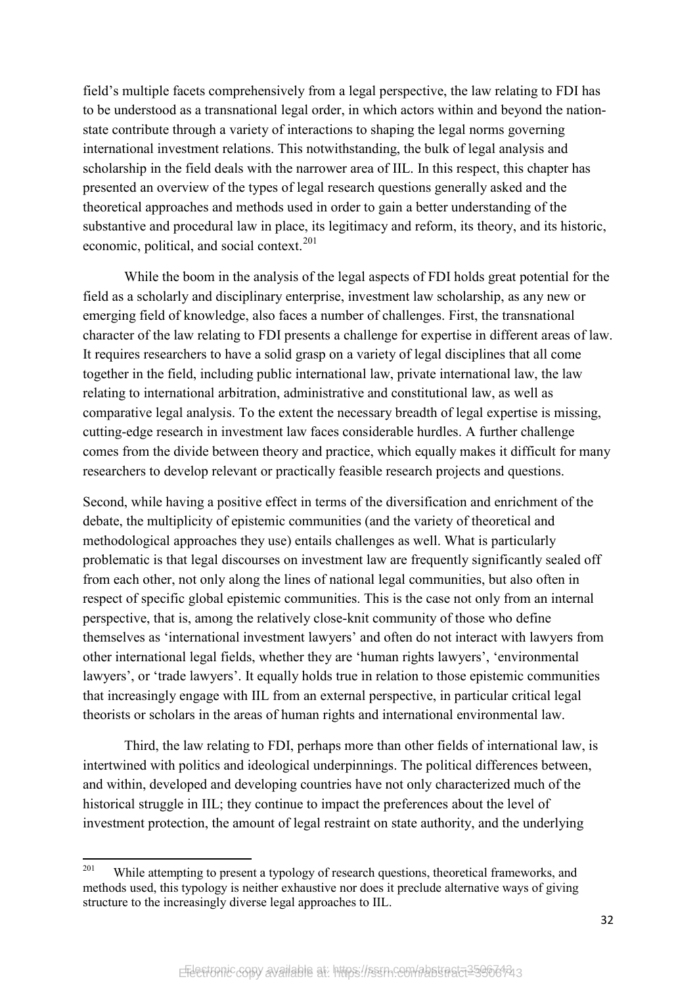field's multiple facets comprehensively from a legal perspective, the law relating to FDI has to be understood as a transnational legal order, in which actors within and beyond the nationstate contribute through a variety of interactions to shaping the legal norms governing international investment relations. This notwithstanding, the bulk of legal analysis and scholarship in the field deals with the narrower area of IIL. In this respect, this chapter has presented an overview of the types of legal research questions generally asked and the theoretical approaches and methods used in order to gain a better understanding of the substantive and procedural law in place, its legitimacy and reform, its theory, and its historic, economic, political, and social context. $201$ 

While the boom in the analysis of the legal aspects of FDI holds great potential for the field as a scholarly and disciplinary enterprise, investment law scholarship, as any new or emerging field of knowledge, also faces a number of challenges. First, the transnational character of the law relating to FDI presents a challenge for expertise in different areas of law. It requires researchers to have a solid grasp on a variety of legal disciplines that all come together in the field, including public international law, private international law, the law relating to international arbitration, administrative and constitutional law, as well as comparative legal analysis. To the extent the necessary breadth of legal expertise is missing, cutting-edge research in investment law faces considerable hurdles. A further challenge comes from the divide between theory and practice, which equally makes it difficult for many researchers to develop relevant or practically feasible research projects and questions.

Second, while having a positive effect in terms of the diversification and enrichment of the debate, the multiplicity of epistemic communities (and the variety of theoretical and methodological approaches they use) entails challenges as well. What is particularly problematic is that legal discourses on investment law are frequently significantly sealed off from each other, not only along the lines of national legal communities, but also often in respect of specific global epistemic communities. This is the case not only from an internal perspective, that is, among the relatively close-knit community of those who define themselves as 'international investment lawyers' and often do not interact with lawyers from other international legal fields, whether they are 'human rights lawyers', 'environmental lawyers', or 'trade lawyers'. It equally holds true in relation to those epistemic communities that increasingly engage with IIL from an external perspective, in particular critical legal theorists or scholars in the areas of human rights and international environmental law.

Third, the law relating to FDI, perhaps more than other fields of international law, is intertwined with politics and ideological underpinnings. The political differences between, and within, developed and developing countries have not only characterized much of the historical struggle in IIL; they continue to impact the preferences about the level of investment protection, the amount of legal restraint on state authority, and the underlying

<span id="page-33-0"></span> $201$ While attempting to present a typology of research questions, theoretical frameworks, and methods used, this typology is neither exhaustive nor does it preclude alternative ways of giving structure to the increasingly diverse legal approaches to IIL.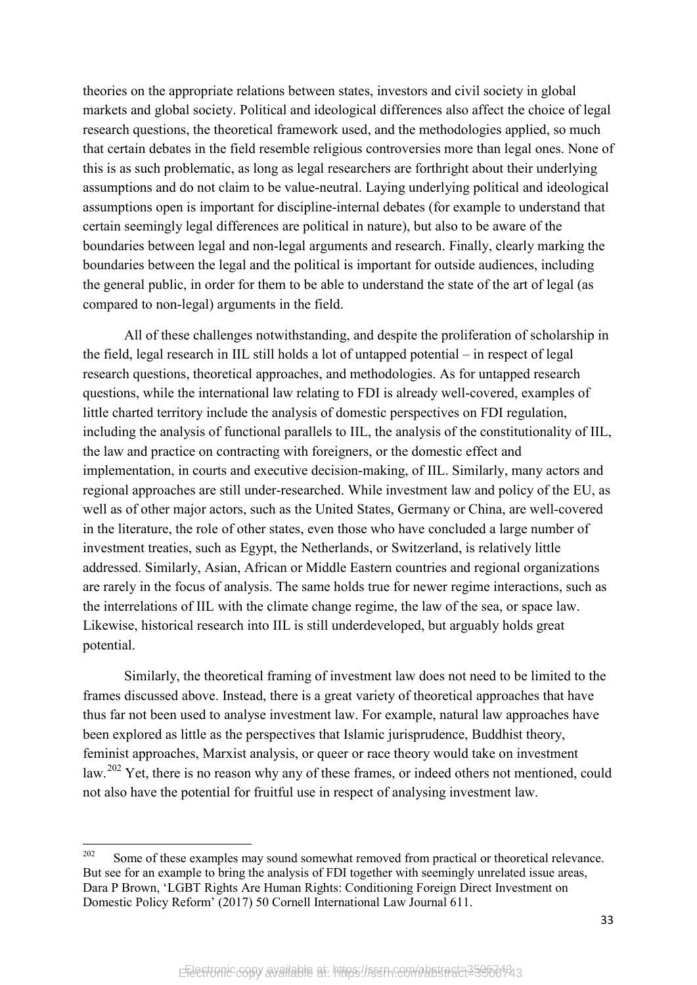theories on the appropriate relations between states, investors and civil society in global markets and global society. Political and ideological differences also affect the choice of legal research questions, the theoretical framework used, and the methodologies applied, so much that certain debates in the field resemble religious controversies more than legal ones. None of this is as such problematic, as long as legal researchers are forthright about their underlying assumptions and do not claim to be value-neutral. Laying underlying political and ideological assumptions open is important for discipline-internal debates (for example to understand that certain seemingly legal differences are political in nature), but also to be aware of the boundaries between legal and non-legal arguments and research. Finally, clearly marking the boundaries between the legal and the political is important for outside audiences, including the general public, in order for them to be able to understand the state of the art of legal (as compared to non-legal) arguments in the field.

All of these challenges notwithstanding, and despite the proliferation of scholarship in the field, legal research in IIL still holds a lot of untapped potential – in respect of legal research questions, theoretical approaches, and methodologies. As for untapped research questions, while the international law relating to FDI is already well-covered, examples of little charted territory include the analysis of domestic perspectives on FDI regulation, including the analysis of functional parallels to IIL, the analysis of the constitutionality of IIL, the law and practice on contracting with foreigners, or the domestic effect and implementation, in courts and executive decision-making, of IIL. Similarly, many actors and regional approaches are still under-researched. While investment law and policy of the EU, as well as of other major actors, such as the United States, Germany or China, are well-covered in the literature, the role of other states, even those who have concluded a large number of investment treaties, such as Egypt, the Netherlands, or Switzerland, is relatively little addressed. Similarly, Asian, African or Middle Eastern countries and regional organizations are rarely in the focus of analysis. The same holds true for newer regime interactions, such as the interrelations of IIL with the climate change regime, the law of the sea, or space law. Likewise, historical research into IIL is still underdeveloped, but arguably holds great potential.

Similarly, the theoretical framing of investment law does not need to be limited to the frames discussed above. Instead, there is a great variety of theoretical approaches that have thus far not been used to analyse investment law. For example, natural law approaches have been explored as little as the perspectives that Islamic jurisprudence, Buddhist theory, feminist approaches, Marxist analysis, or queer or race theory would take on investment law.<sup>[202](#page-34-0)</sup> Yet, there is no reason why any of these frames, or indeed others not mentioned, could not also have the potential for fruitful use in respect of analysing investment law.

<span id="page-34-0"></span><sup>202</sup> Some of these examples may sound somewhat removed from practical or theoretical relevance. But see for an example to bring the analysis of FDI together with seemingly unrelated issue areas, Dara P Brown, 'LGBT Rights Are Human Rights: Conditioning Foreign Direct Investment on Domestic Policy Reform' (2017) 50 Cornell International Law Journal 611.